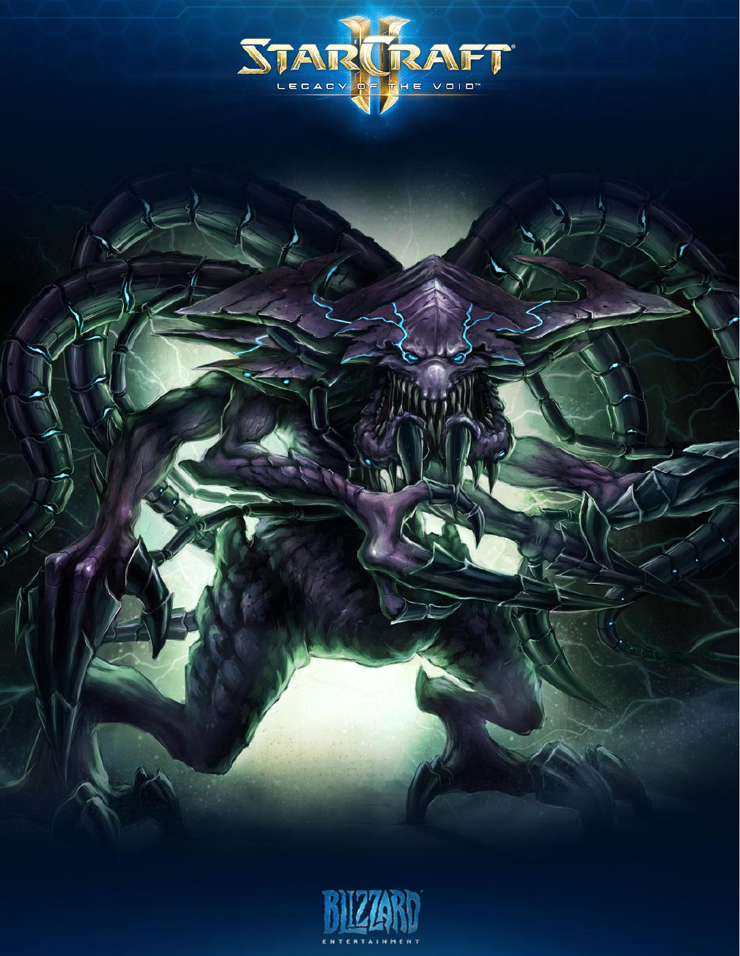



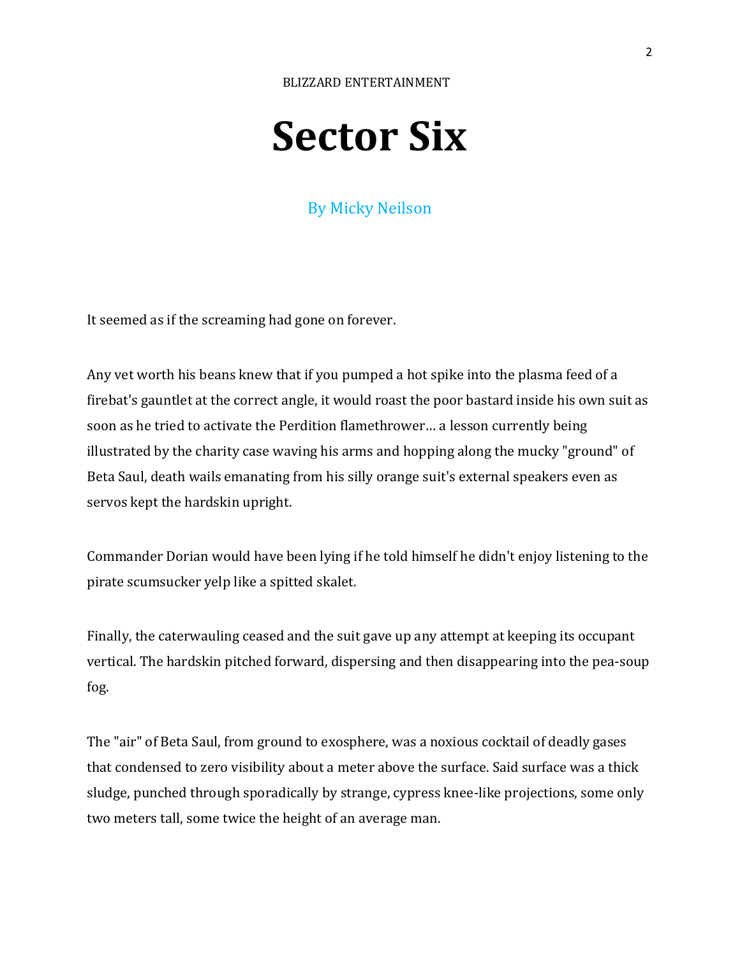# **Sector Six**

# By Micky Neilson

It seemed as if the screaming had gone on forever.

Any vet worth his beans knew that if you pumped a hot spike into the plasma feed of a firebat's gauntlet at the correct angle, it would roast the poor bastard inside his own suit as soon as he tried to activate the Perdition flamethrower… a lesson currently being illustrated by the charity case waving his arms and hopping along the mucky "ground" of Beta Saul, death wails emanating from his silly orange suit's external speakers even as servos kept the hardskin upright.

Commander Dorian would have been lying if he told himself he didn't enjoy listening to the pirate scumsucker yelp like a spitted skalet.

Finally, the caterwauling ceased and the suit gave up any attempt at keeping its occupant vertical. The hardskin pitched forward, dispersing and then disappearing into the pea-soup fog.

The "air" of Beta Saul, from ground to exosphere, was a noxious cocktail of deadly gases that condensed to zero visibility about a meter above the surface. Said surface was a thick sludge, punched through sporadically by strange, cypress knee-like projections, some only two meters tall, some twice the height of an average man.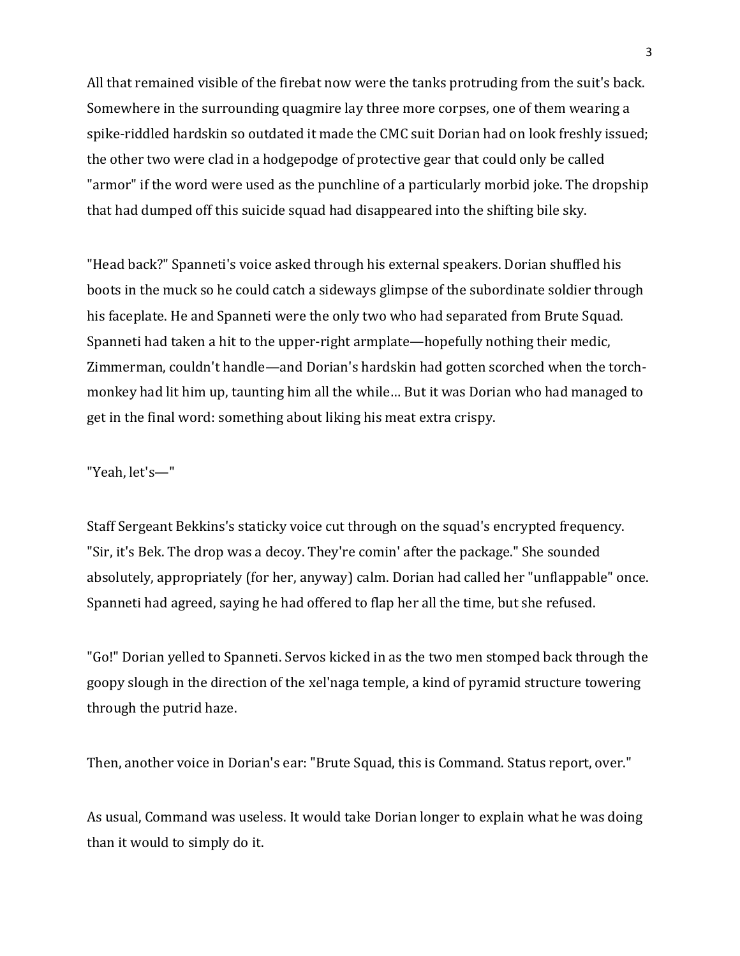All that remained visible of the firebat now were the tanks protruding from the suit's back. Somewhere in the surrounding quagmire lay three more corpses, one of them wearing a spike-riddled hardskin so outdated it made the CMC suit Dorian had on look freshly issued; the other two were clad in a hodgepodge of protective gear that could only be called "armor" if the word were used as the punchline of a particularly morbid joke. The dropship that had dumped off this suicide squad had disappeared into the shifting bile sky.

"Head back?" Spanneti's voice asked through his external speakers. Dorian shuffled his boots in the muck so he could catch a sideways glimpse of the subordinate soldier through his faceplate. He and Spanneti were the only two who had separated from Brute Squad. Spanneti had taken a hit to the upper-right armplate—hopefully nothing their medic, Zimmerman, couldn't handle—and Dorian's hardskin had gotten scorched when the torchmonkey had lit him up, taunting him all the while… But it was Dorian who had managed to get in the final word: something about liking his meat extra crispy.

"Yeah, let's—"

Staff Sergeant Bekkins's staticky voice cut through on the squad's encrypted frequency. "Sir, it's Bek. The drop was a decoy. They're comin' after the package." She sounded absolutely, appropriately (for her, anyway) calm. Dorian had called her "unflappable" once. Spanneti had agreed, saying he had offered to flap her all the time, but she refused.

"Go!" Dorian yelled to Spanneti. Servos kicked in as the two men stomped back through the goopy slough in the direction of the xel'naga temple, a kind of pyramid structure towering through the putrid haze.

Then, another voice in Dorian's ear: "Brute Squad, this is Command. Status report, over."

As usual, Command was useless. It would take Dorian longer to explain what he was doing than it would to simply do it.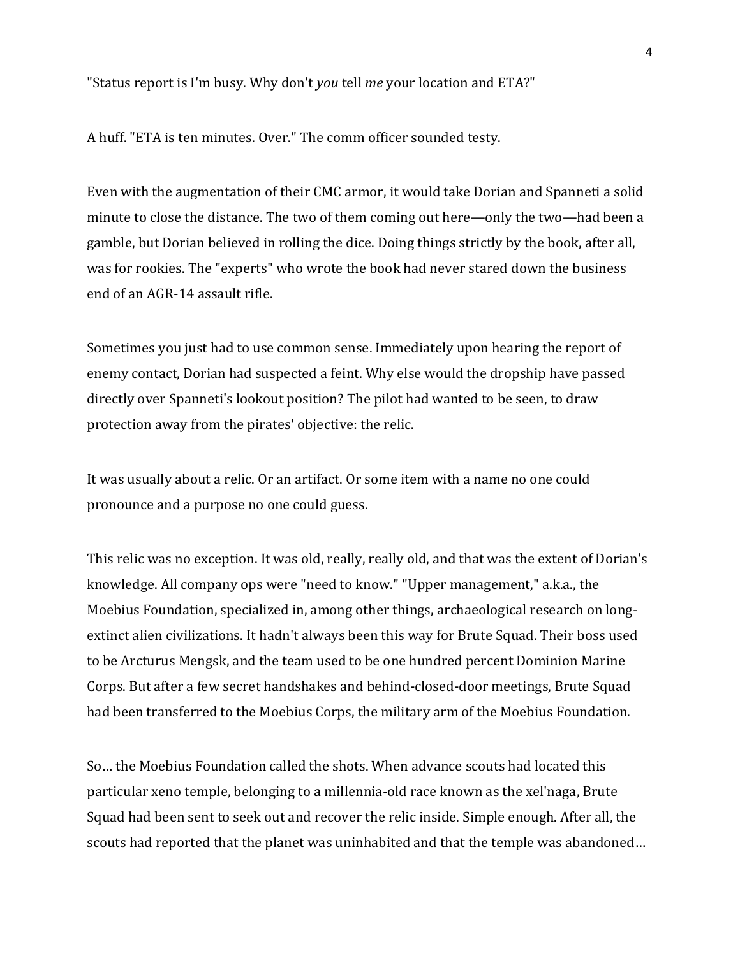"Status report is I'm busy. Why don't *you* tell *me* your location and ETA?"

A huff. "ETA is ten minutes. Over." The comm officer sounded testy.

Even with the augmentation of their CMC armor, it would take Dorian and Spanneti a solid minute to close the distance. The two of them coming out here—only the two—had been a gamble, but Dorian believed in rolling the dice. Doing things strictly by the book, after all, was for rookies. The "experts" who wrote the book had never stared down the business end of an AGR-14 assault rifle.

Sometimes you just had to use common sense. Immediately upon hearing the report of enemy contact, Dorian had suspected a feint. Why else would the dropship have passed directly over Spanneti's lookout position? The pilot had wanted to be seen, to draw protection away from the pirates' objective: the relic.

It was usually about a relic. Or an artifact. Or some item with a name no one could pronounce and a purpose no one could guess.

This relic was no exception. It was old, really, really old, and that was the extent of Dorian's knowledge. All company ops were "need to know." "Upper management," a.k.a., the Moebius Foundation, specialized in, among other things, archaeological research on longextinct alien civilizations. It hadn't always been this way for Brute Squad. Their boss used to be Arcturus Mengsk, and the team used to be one hundred percent Dominion Marine Corps. But after a few secret handshakes and behind-closed-door meetings, Brute Squad had been transferred to the Moebius Corps, the military arm of the Moebius Foundation.

So… the Moebius Foundation called the shots. When advance scouts had located this particular xeno temple, belonging to a millennia-old race known as the xel'naga, Brute Squad had been sent to seek out and recover the relic inside. Simple enough. After all, the scouts had reported that the planet was uninhabited and that the temple was abandoned…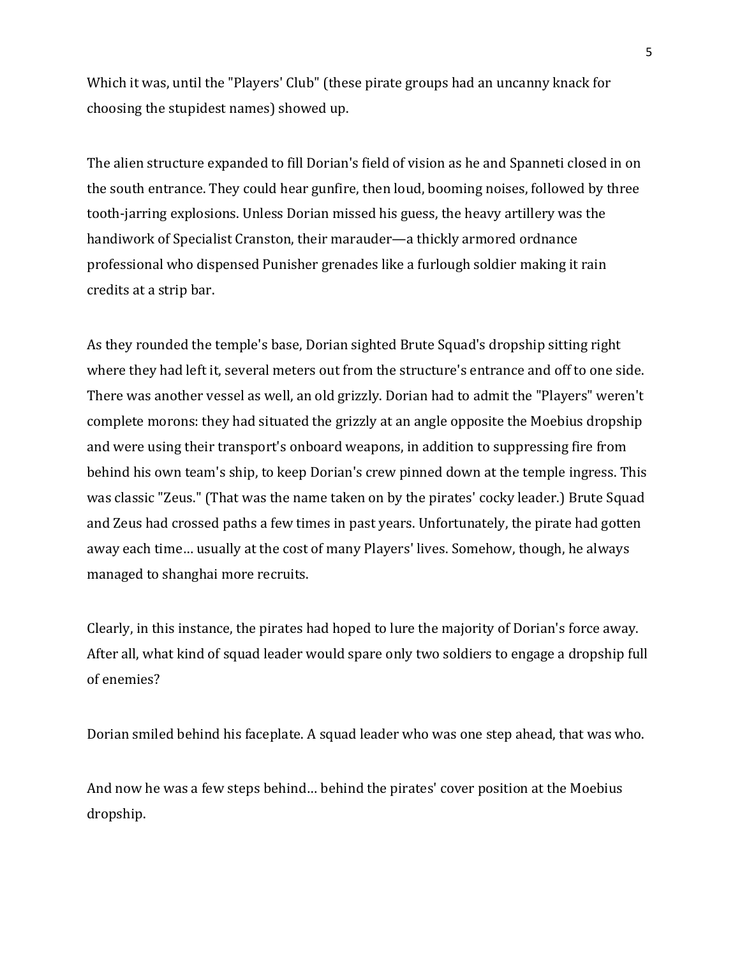Which it was, until the "Players' Club" (these pirate groups had an uncanny knack for choosing the stupidest names) showed up.

The alien structure expanded to fill Dorian's field of vision as he and Spanneti closed in on the south entrance. They could hear gunfire, then loud, booming noises, followed by three tooth-jarring explosions. Unless Dorian missed his guess, the heavy artillery was the handiwork of Specialist Cranston, their marauder—a thickly armored ordnance professional who dispensed Punisher grenades like a furlough soldier making it rain credits at a strip bar.

As they rounded the temple's base, Dorian sighted Brute Squad's dropship sitting right where they had left it, several meters out from the structure's entrance and off to one side. There was another vessel as well, an old grizzly. Dorian had to admit the "Players" weren't complete morons: they had situated the grizzly at an angle opposite the Moebius dropship and were using their transport's onboard weapons, in addition to suppressing fire from behind his own team's ship, to keep Dorian's crew pinned down at the temple ingress. This was classic "Zeus." (That was the name taken on by the pirates' cocky leader.) Brute Squad and Zeus had crossed paths a few times in past years. Unfortunately, the pirate had gotten away each time… usually at the cost of many Players' lives. Somehow, though, he always managed to shanghai more recruits.

Clearly, in this instance, the pirates had hoped to lure the majority of Dorian's force away. After all, what kind of squad leader would spare only two soldiers to engage a dropship full of enemies?

Dorian smiled behind his faceplate. A squad leader who was one step ahead, that was who.

And now he was a few steps behind… behind the pirates' cover position at the Moebius dropship.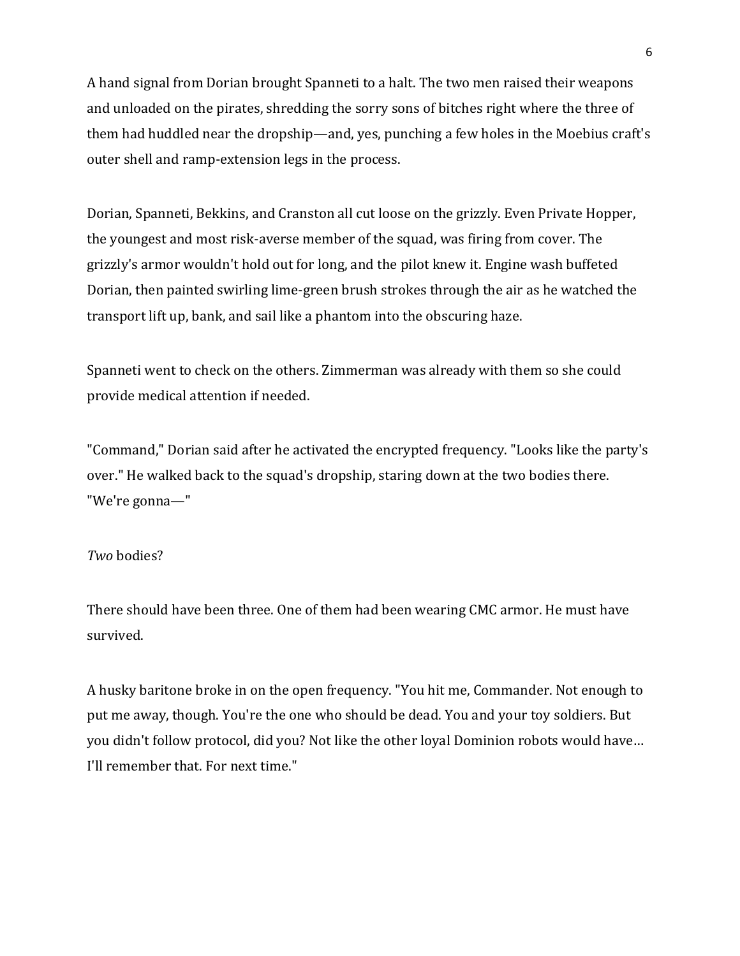A hand signal from Dorian brought Spanneti to a halt. The two men raised their weapons and unloaded on the pirates, shredding the sorry sons of bitches right where the three of them had huddled near the dropship—and, yes, punching a few holes in the Moebius craft's outer shell and ramp-extension legs in the process.

Dorian, Spanneti, Bekkins, and Cranston all cut loose on the grizzly. Even Private Hopper, the youngest and most risk-averse member of the squad, was firing from cover. The grizzly's armor wouldn't hold out for long, and the pilot knew it. Engine wash buffeted Dorian, then painted swirling lime-green brush strokes through the air as he watched the transport lift up, bank, and sail like a phantom into the obscuring haze.

Spanneti went to check on the others. Zimmerman was already with them so she could provide medical attention if needed.

"Command," Dorian said after he activated the encrypted frequency. "Looks like the party's over." He walked back to the squad's dropship, staring down at the two bodies there. "We're gonna—"

#### *Two* bodies?

There should have been three. One of them had been wearing CMC armor. He must have survived.

A husky baritone broke in on the open frequency. "You hit me, Commander. Not enough to put me away, though. You're the one who should be dead. You and your toy soldiers. But you didn't follow protocol, did you? Not like the other loyal Dominion robots would have… I'll remember that. For next time."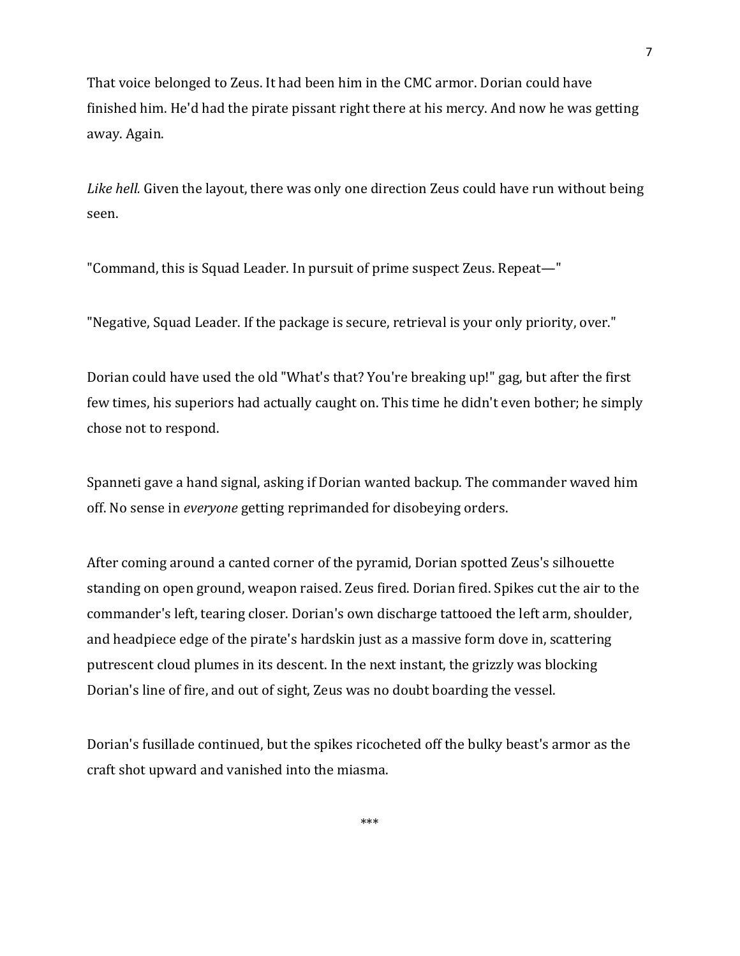That voice belonged to Zeus. It had been him in the CMC armor. Dorian could have finished him. He'd had the pirate pissant right there at his mercy. And now he was getting away. Again.

*Like hell.* Given the layout, there was only one direction Zeus could have run without being seen.

"Command, this is Squad Leader. In pursuit of prime suspect Zeus. Repeat—"

"Negative, Squad Leader. If the package is secure, retrieval is your only priority, over."

Dorian could have used the old "What's that? You're breaking up!" gag, but after the first few times, his superiors had actually caught on. This time he didn't even bother; he simply chose not to respond.

Spanneti gave a hand signal, asking if Dorian wanted backup. The commander waved him off. No sense in *everyone* getting reprimanded for disobeying orders.

After coming around a canted corner of the pyramid, Dorian spotted Zeus's silhouette standing on open ground, weapon raised. Zeus fired. Dorian fired. Spikes cut the air to the commander's left, tearing closer. Dorian's own discharge tattooed the left arm, shoulder, and headpiece edge of the pirate's hardskin just as a massive form dove in, scattering putrescent cloud plumes in its descent. In the next instant, the grizzly was blocking Dorian's line of fire, and out of sight, Zeus was no doubt boarding the vessel.

Dorian's fusillade continued, but the spikes ricocheted off the bulky beast's armor as the craft shot upward and vanished into the miasma.

\*\*\*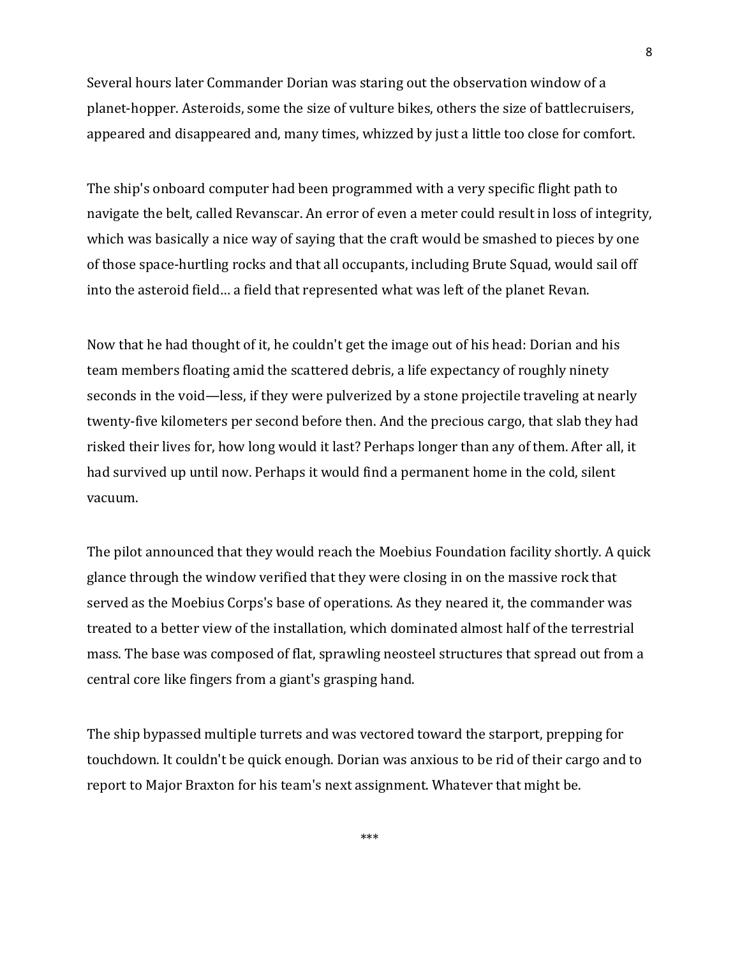Several hours later Commander Dorian was staring out the observation window of a planet-hopper. Asteroids, some the size of vulture bikes, others the size of battlecruisers, appeared and disappeared and, many times, whizzed by just a little too close for comfort.

The ship's onboard computer had been programmed with a very specific flight path to navigate the belt, called Revanscar. An error of even a meter could result in loss of integrity, which was basically a nice way of saying that the craft would be smashed to pieces by one of those space-hurtling rocks and that all occupants, including Brute Squad, would sail off into the asteroid field… a field that represented what was left of the planet Revan.

Now that he had thought of it, he couldn't get the image out of his head: Dorian and his team members floating amid the scattered debris, a life expectancy of roughly ninety seconds in the void—less, if they were pulverized by a stone projectile traveling at nearly twenty-five kilometers per second before then. And the precious cargo, that slab they had risked their lives for, how long would it last? Perhaps longer than any of them. After all, it had survived up until now. Perhaps it would find a permanent home in the cold, silent vacuum.

The pilot announced that they would reach the Moebius Foundation facility shortly. A quick glance through the window verified that they were closing in on the massive rock that served as the Moebius Corps's base of operations. As they neared it, the commander was treated to a better view of the installation, which dominated almost half of the terrestrial mass. The base was composed of flat, sprawling neosteel structures that spread out from a central core like fingers from a giant's grasping hand.

The ship bypassed multiple turrets and was vectored toward the starport, prepping for touchdown. It couldn't be quick enough. Dorian was anxious to be rid of their cargo and to report to Major Braxton for his team's next assignment. Whatever that might be.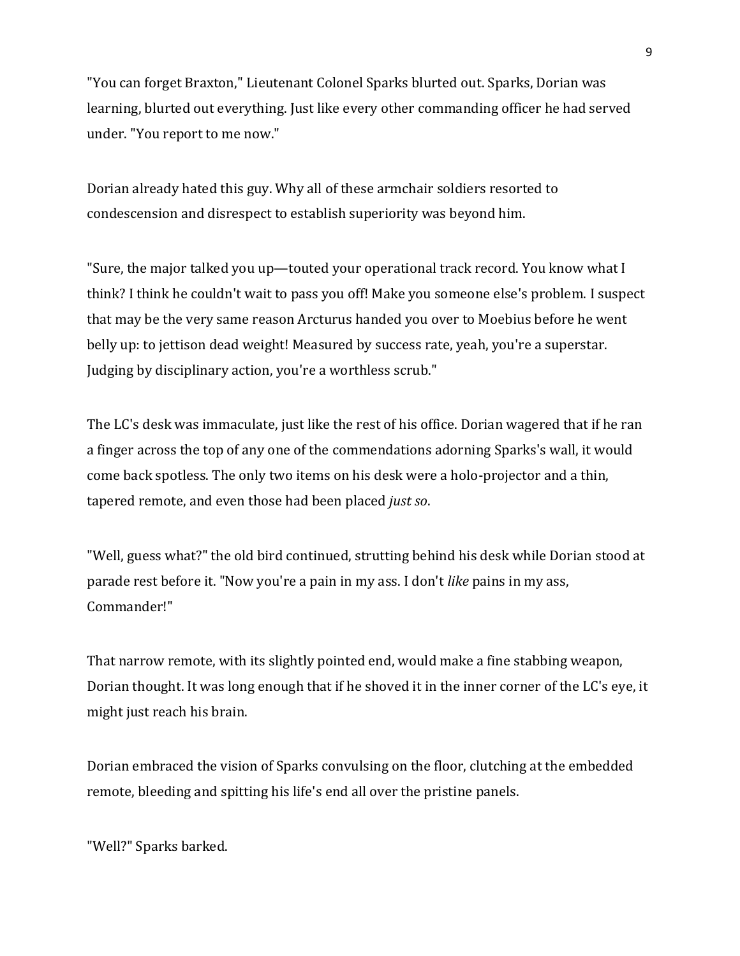"You can forget Braxton," Lieutenant Colonel Sparks blurted out. Sparks, Dorian was learning, blurted out everything. Just like every other commanding officer he had served under. "You report to me now."

Dorian already hated this guy. Why all of these armchair soldiers resorted to condescension and disrespect to establish superiority was beyond him.

"Sure, the major talked you up—touted your operational track record. You know what I think? I think he couldn't wait to pass you off! Make you someone else's problem. I suspect that may be the very same reason Arcturus handed you over to Moebius before he went belly up: to jettison dead weight! Measured by success rate, yeah, you're a superstar. Judging by disciplinary action, you're a worthless scrub."

The LC's desk was immaculate, just like the rest of his office. Dorian wagered that if he ran a finger across the top of any one of the commendations adorning Sparks's wall, it would come back spotless. The only two items on his desk were a holo-projector and a thin, tapered remote, and even those had been placed *just so*.

"Well, guess what?" the old bird continued, strutting behind his desk while Dorian stood at parade rest before it. "Now you're a pain in my ass. I don't *like* pains in my ass, Commander!"

That narrow remote, with its slightly pointed end, would make a fine stabbing weapon, Dorian thought. It was long enough that if he shoved it in the inner corner of the LC's eye, it might just reach his brain.

Dorian embraced the vision of Sparks convulsing on the floor, clutching at the embedded remote, bleeding and spitting his life's end all over the pristine panels.

"Well?" Sparks barked.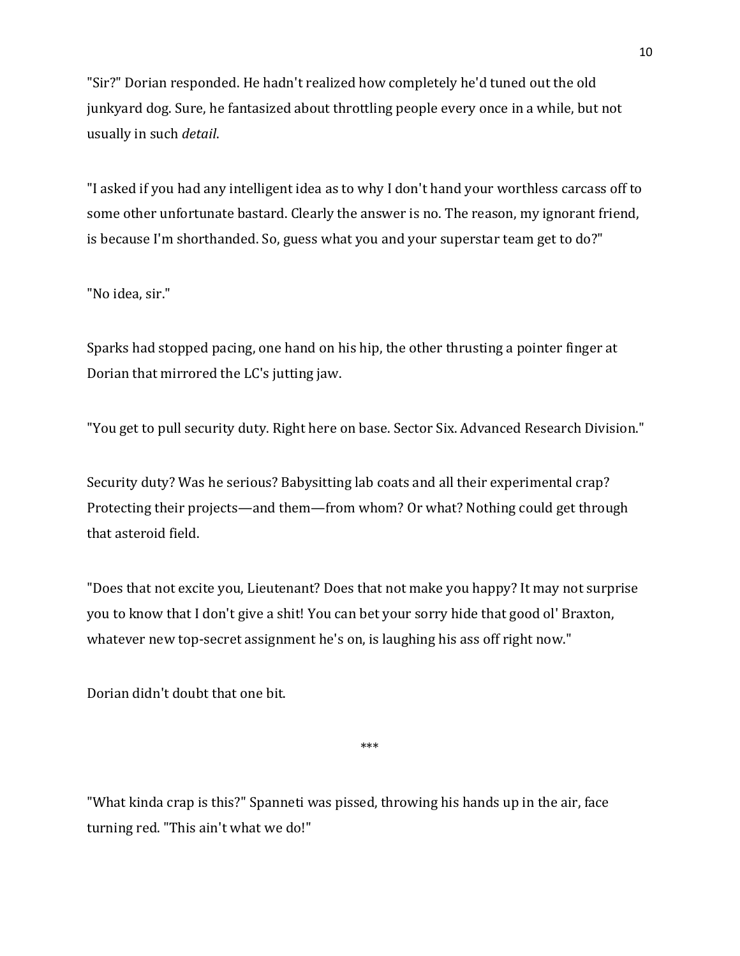"Sir?" Dorian responded. He hadn't realized how completely he'd tuned out the old junkyard dog. Sure, he fantasized about throttling people every once in a while, but not usually in such *detail*.

"I asked if you had any intelligent idea as to why I don't hand your worthless carcass off to some other unfortunate bastard. Clearly the answer is no. The reason, my ignorant friend, is because I'm shorthanded. So, guess what you and your superstar team get to do?"

"No idea, sir."

Sparks had stopped pacing, one hand on his hip, the other thrusting a pointer finger at Dorian that mirrored the LC's jutting jaw.

"You get to pull security duty. Right here on base. Sector Six. Advanced Research Division."

Security duty? Was he serious? Babysitting lab coats and all their experimental crap? Protecting their projects—and them—from whom? Or what? Nothing could get through that asteroid field.

"Does that not excite you, Lieutenant? Does that not make you happy? It may not surprise you to know that I don't give a shit! You can bet your sorry hide that good ol' Braxton, whatever new top-secret assignment he's on, is laughing his ass off right now."

Dorian didn't doubt that one bit.

\*\*\*

"What kinda crap is this?" Spanneti was pissed, throwing his hands up in the air, face turning red. "This ain't what we do!"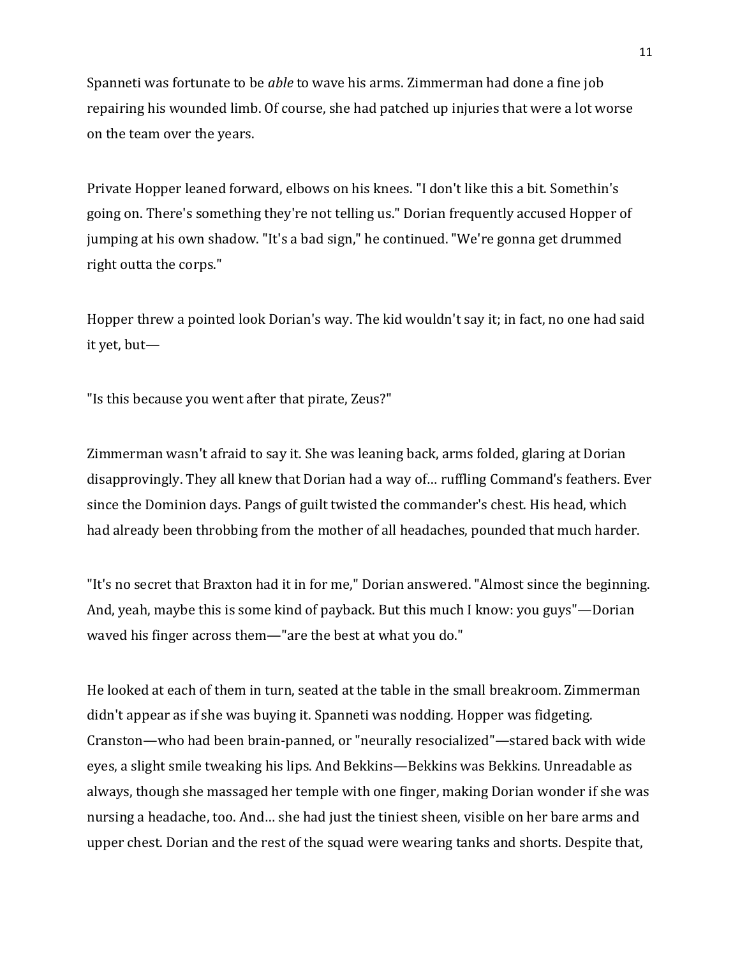Spanneti was fortunate to be *able* to wave his arms. Zimmerman had done a fine job repairing his wounded limb. Of course, she had patched up injuries that were a lot worse on the team over the years.

Private Hopper leaned forward, elbows on his knees. "I don't like this a bit. Somethin's going on. There's something they're not telling us." Dorian frequently accused Hopper of jumping at his own shadow. "It's a bad sign," he continued. "We're gonna get drummed right outta the corps."

Hopper threw a pointed look Dorian's way. The kid wouldn't say it; in fact, no one had said it yet, but—

"Is this because you went after that pirate, Zeus?"

Zimmerman wasn't afraid to say it. She was leaning back, arms folded, glaring at Dorian disapprovingly. They all knew that Dorian had a way of… ruffling Command's feathers. Ever since the Dominion days. Pangs of guilt twisted the commander's chest. His head, which had already been throbbing from the mother of all headaches, pounded that much harder.

"It's no secret that Braxton had it in for me," Dorian answered. "Almost since the beginning. And, yeah, maybe this is some kind of payback. But this much I know: you guys"—Dorian waved his finger across them—"are the best at what you do."

He looked at each of them in turn, seated at the table in the small breakroom. Zimmerman didn't appear as if she was buying it. Spanneti was nodding. Hopper was fidgeting. Cranston—who had been brain-panned, or "neurally resocialized"—stared back with wide eyes, a slight smile tweaking his lips. And Bekkins—Bekkins was Bekkins. Unreadable as always, though she massaged her temple with one finger, making Dorian wonder if she was nursing a headache, too. And… she had just the tiniest sheen, visible on her bare arms and upper chest. Dorian and the rest of the squad were wearing tanks and shorts. Despite that,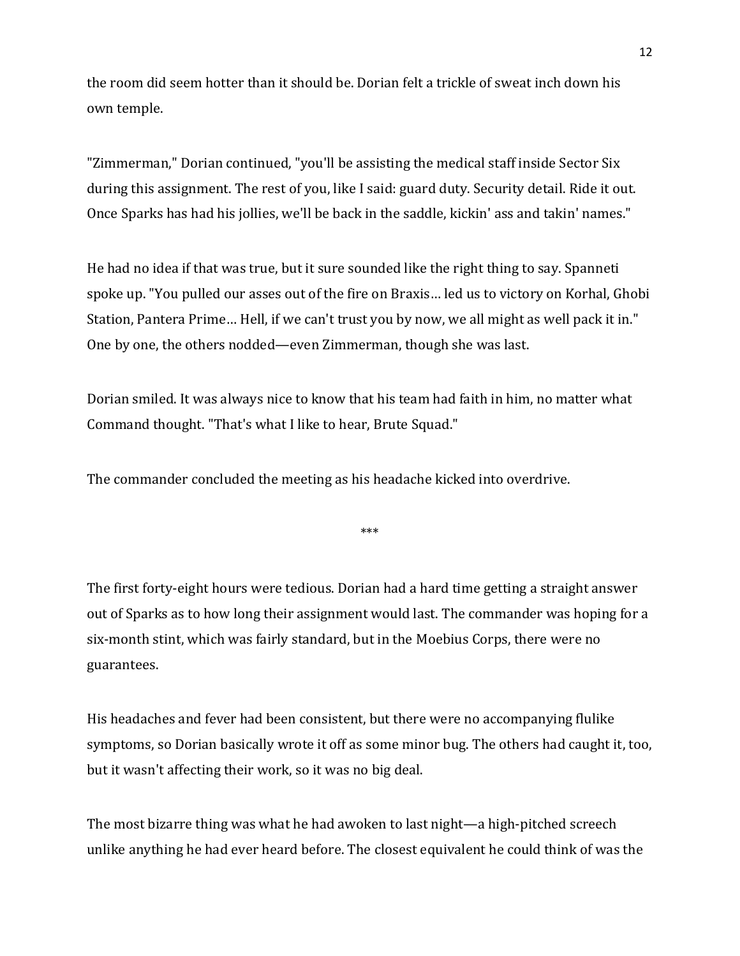the room did seem hotter than it should be. Dorian felt a trickle of sweat inch down his own temple.

"Zimmerman," Dorian continued, "you'll be assisting the medical staff inside Sector Six during this assignment. The rest of you, like I said: guard duty. Security detail. Ride it out. Once Sparks has had his jollies, we'll be back in the saddle, kickin' ass and takin' names."

He had no idea if that was true, but it sure sounded like the right thing to say. Spanneti spoke up. "You pulled our asses out of the fire on Braxis… led us to victory on Korhal, Ghobi Station, Pantera Prime… Hell, if we can't trust you by now, we all might as well pack it in." One by one, the others nodded—even Zimmerman, though she was last.

Dorian smiled. It was always nice to know that his team had faith in him, no matter what Command thought. "That's what I like to hear, Brute Squad."

The commander concluded the meeting as his headache kicked into overdrive.

\*\*\*

The first forty-eight hours were tedious. Dorian had a hard time getting a straight answer out of Sparks as to how long their assignment would last. The commander was hoping for a six-month stint, which was fairly standard, but in the Moebius Corps, there were no guarantees.

His headaches and fever had been consistent, but there were no accompanying flulike symptoms, so Dorian basically wrote it off as some minor bug. The others had caught it, too, but it wasn't affecting their work, so it was no big deal.

The most bizarre thing was what he had awoken to last night—a high-pitched screech unlike anything he had ever heard before. The closest equivalent he could think of was the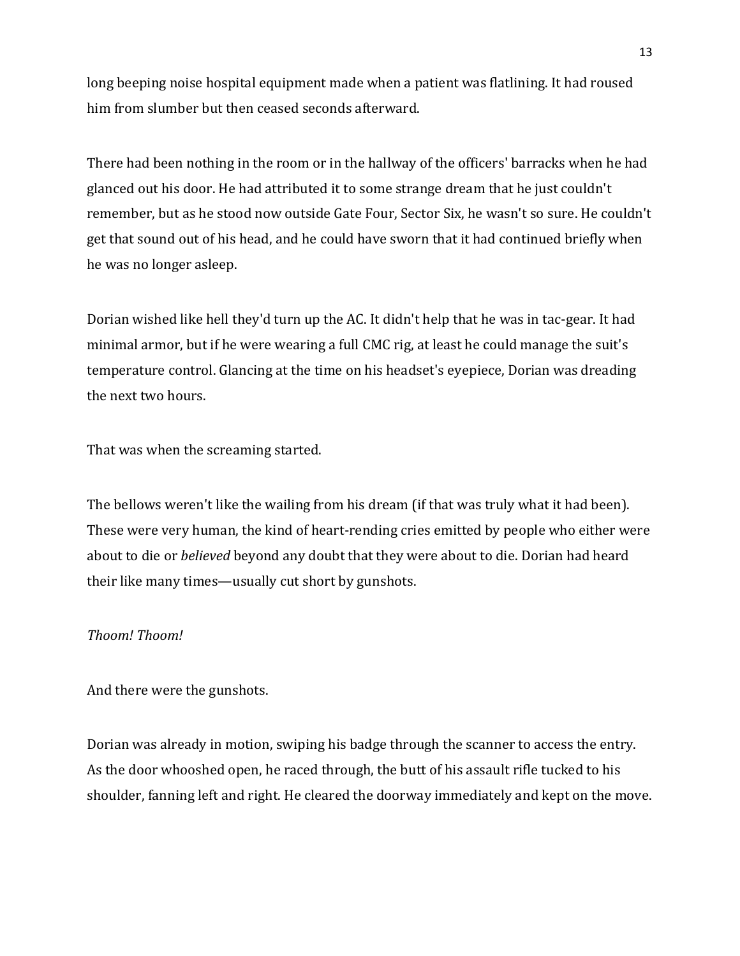long beeping noise hospital equipment made when a patient was flatlining. It had roused him from slumber but then ceased seconds afterward.

There had been nothing in the room or in the hallway of the officers' barracks when he had glanced out his door. He had attributed it to some strange dream that he just couldn't remember, but as he stood now outside Gate Four, Sector Six, he wasn't so sure. He couldn't get that sound out of his head, and he could have sworn that it had continued briefly when he was no longer asleep.

Dorian wished like hell they'd turn up the AC. It didn't help that he was in tac-gear. It had minimal armor, but if he were wearing a full CMC rig, at least he could manage the suit's temperature control. Glancing at the time on his headset's eyepiece, Dorian was dreading the next two hours.

That was when the screaming started.

The bellows weren't like the wailing from his dream (if that was truly what it had been). These were very human, the kind of heart-rending cries emitted by people who either were about to die or *believed* beyond any doubt that they were about to die. Dorian had heard their like many times—usually cut short by gunshots.

### *Thoom! Thoom!*

And there were the gunshots.

Dorian was already in motion, swiping his badge through the scanner to access the entry. As the door whooshed open, he raced through, the butt of his assault rifle tucked to his shoulder, fanning left and right. He cleared the doorway immediately and kept on the move.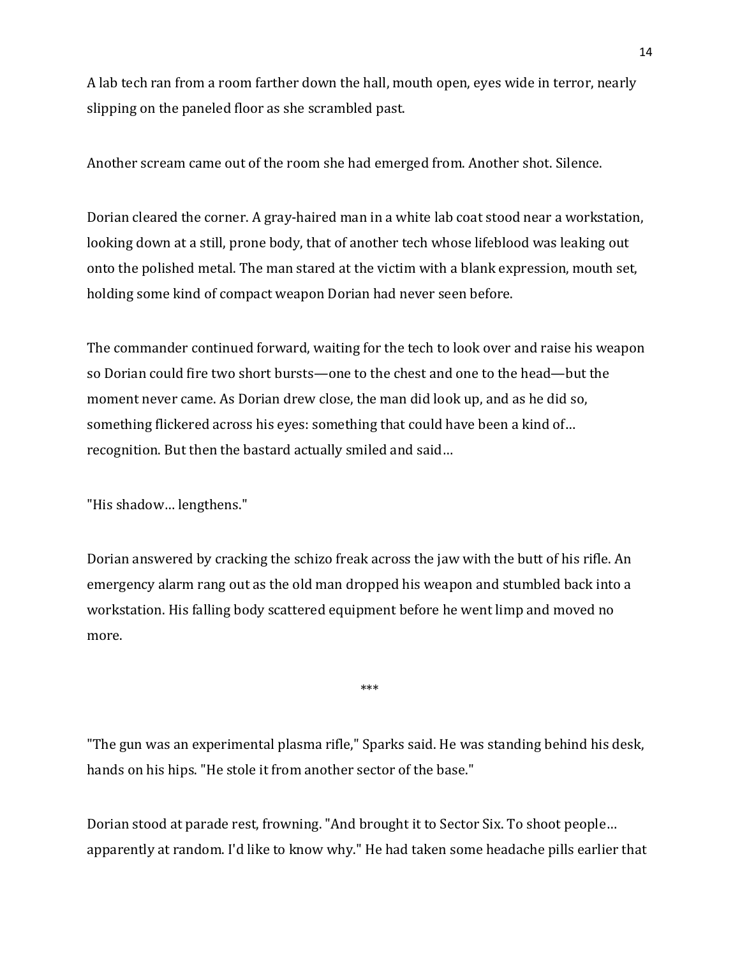A lab tech ran from a room farther down the hall, mouth open, eyes wide in terror, nearly slipping on the paneled floor as she scrambled past.

Another scream came out of the room she had emerged from. Another shot. Silence.

Dorian cleared the corner. A gray-haired man in a white lab coat stood near a workstation, looking down at a still, prone body, that of another tech whose lifeblood was leaking out onto the polished metal. The man stared at the victim with a blank expression, mouth set, holding some kind of compact weapon Dorian had never seen before.

The commander continued forward, waiting for the tech to look over and raise his weapon so Dorian could fire two short bursts—one to the chest and one to the head—but the moment never came. As Dorian drew close, the man did look up, and as he did so, something flickered across his eyes: something that could have been a kind of… recognition. But then the bastard actually smiled and said…

"His shadow… lengthens."

Dorian answered by cracking the schizo freak across the jaw with the butt of his rifle. An emergency alarm rang out as the old man dropped his weapon and stumbled back into a workstation. His falling body scattered equipment before he went limp and moved no more.

"The gun was an experimental plasma rifle," Sparks said. He was standing behind his desk, hands on his hips. "He stole it from another sector of the base."

\*\*\*

Dorian stood at parade rest, frowning. "And brought it to Sector Six. To shoot people… apparently at random. I'd like to know why." He had taken some headache pills earlier that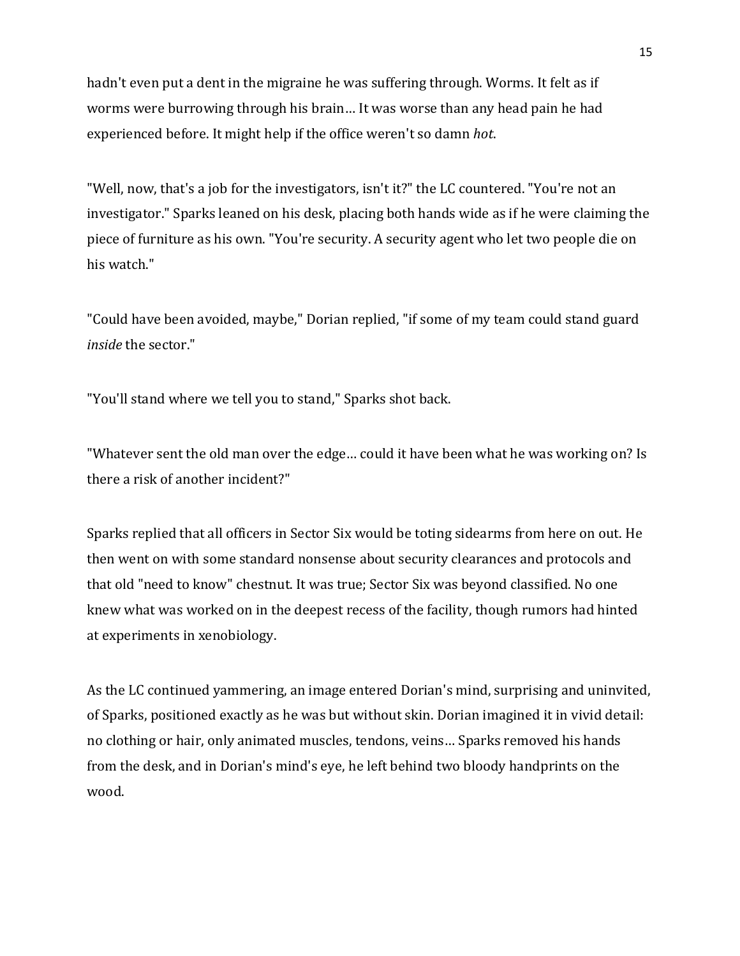hadn't even put a dent in the migraine he was suffering through. Worms. It felt as if worms were burrowing through his brain… It was worse than any head pain he had experienced before. It might help if the office weren't so damn *hot*.

"Well, now, that's a job for the investigators, isn't it?" the LC countered. "You're not an investigator." Sparks leaned on his desk, placing both hands wide as if he were claiming the piece of furniture as his own. "You're security. A security agent who let two people die on his watch."

"Could have been avoided, maybe," Dorian replied, "if some of my team could stand guard *inside* the sector."

"You'll stand where we tell you to stand," Sparks shot back.

"Whatever sent the old man over the edge… could it have been what he was working on? Is there a risk of another incident?"

Sparks replied that all officers in Sector Six would be toting sidearms from here on out. He then went on with some standard nonsense about security clearances and protocols and that old "need to know" chestnut. It was true; Sector Six was beyond classified. No one knew what was worked on in the deepest recess of the facility, though rumors had hinted at experiments in xenobiology.

As the LC continued yammering, an image entered Dorian's mind, surprising and uninvited, of Sparks, positioned exactly as he was but without skin. Dorian imagined it in vivid detail: no clothing or hair, only animated muscles, tendons, veins… Sparks removed his hands from the desk, and in Dorian's mind's eye, he left behind two bloody handprints on the wood.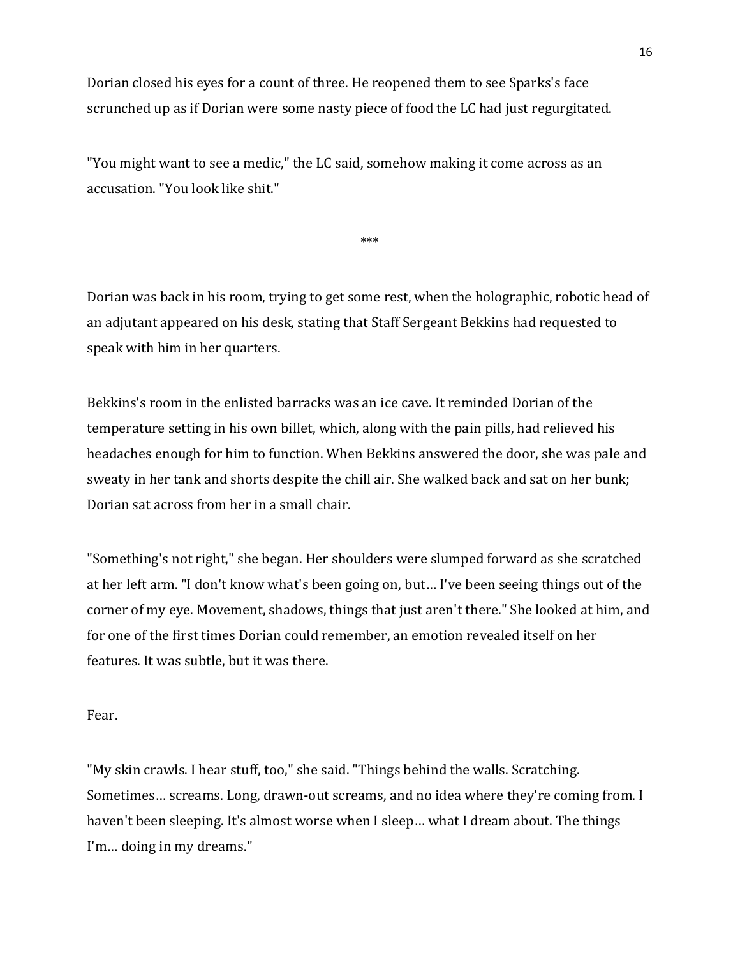Dorian closed his eyes for a count of three. He reopened them to see Sparks's face scrunched up as if Dorian were some nasty piece of food the LC had just regurgitated.

"You might want to see a medic," the LC said, somehow making it come across as an accusation. "You look like shit."

\*\*\*

Dorian was back in his room, trying to get some rest, when the holographic, robotic head of an adjutant appeared on his desk, stating that Staff Sergeant Bekkins had requested to speak with him in her quarters.

Bekkins's room in the enlisted barracks was an ice cave. It reminded Dorian of the temperature setting in his own billet, which, along with the pain pills, had relieved his headaches enough for him to function. When Bekkins answered the door, she was pale and sweaty in her tank and shorts despite the chill air. She walked back and sat on her bunk; Dorian sat across from her in a small chair.

"Something's not right," she began. Her shoulders were slumped forward as she scratched at her left arm. "I don't know what's been going on, but… I've been seeing things out of the corner of my eye. Movement, shadows, things that just aren't there." She looked at him, and for one of the first times Dorian could remember, an emotion revealed itself on her features. It was subtle, but it was there.

Fear.

"My skin crawls. I hear stuff, too," she said. "Things behind the walls. Scratching. Sometimes… screams. Long, drawn-out screams, and no idea where they're coming from. I haven't been sleeping. It's almost worse when I sleep… what I dream about. The things I'm… doing in my dreams."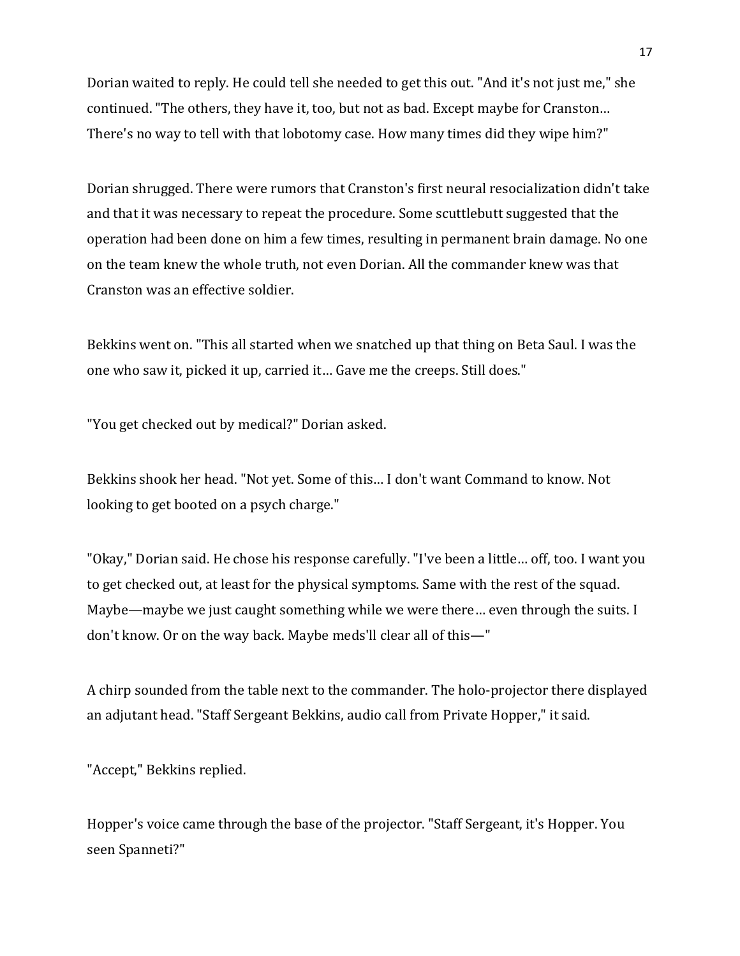Dorian waited to reply. He could tell she needed to get this out. "And it's not just me," she continued. "The others, they have it, too, but not as bad. Except maybe for Cranston… There's no way to tell with that lobotomy case. How many times did they wipe him?"

Dorian shrugged. There were rumors that Cranston's first neural resocialization didn't take and that it was necessary to repeat the procedure. Some scuttlebutt suggested that the operation had been done on him a few times, resulting in permanent brain damage. No one on the team knew the whole truth, not even Dorian. All the commander knew was that Cranston was an effective soldier.

Bekkins went on. "This all started when we snatched up that thing on Beta Saul. I was the one who saw it, picked it up, carried it… Gave me the creeps. Still does."

"You get checked out by medical?" Dorian asked.

Bekkins shook her head. "Not yet. Some of this… I don't want Command to know. Not looking to get booted on a psych charge."

"Okay," Dorian said. He chose his response carefully. "I've been a little… off, too. I want you to get checked out, at least for the physical symptoms. Same with the rest of the squad. Maybe—maybe we just caught something while we were there… even through the suits. I don't know. Or on the way back. Maybe meds'll clear all of this—"

A chirp sounded from the table next to the commander. The holo-projector there displayed an adjutant head. "Staff Sergeant Bekkins, audio call from Private Hopper," it said.

"Accept," Bekkins replied.

Hopper's voice came through the base of the projector. "Staff Sergeant, it's Hopper. You seen Spanneti?"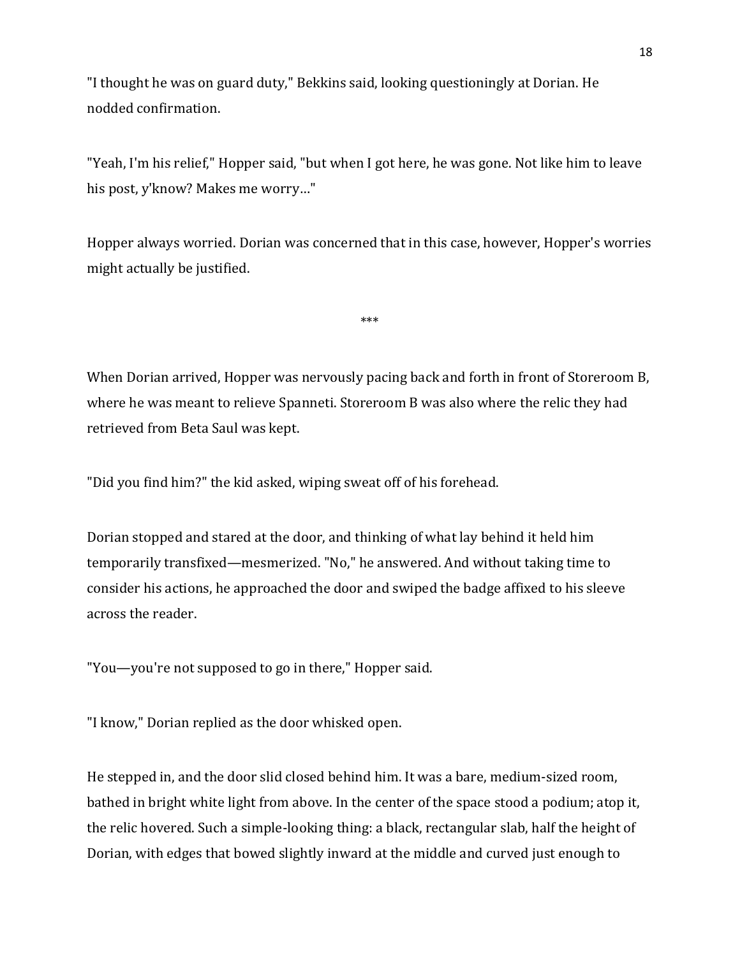"I thought he was on guard duty," Bekkins said, looking questioningly at Dorian. He nodded confirmation.

"Yeah, I'm his relief," Hopper said, "but when I got here, he was gone. Not like him to leave his post, y'know? Makes me worry…"

Hopper always worried. Dorian was concerned that in this case, however, Hopper's worries might actually be justified.

\*\*\*

When Dorian arrived, Hopper was nervously pacing back and forth in front of Storeroom B, where he was meant to relieve Spanneti. Storeroom B was also where the relic they had retrieved from Beta Saul was kept.

"Did you find him?" the kid asked, wiping sweat off of his forehead.

Dorian stopped and stared at the door, and thinking of what lay behind it held him temporarily transfixed—mesmerized. "No," he answered. And without taking time to consider his actions, he approached the door and swiped the badge affixed to his sleeve across the reader.

"You—you're not supposed to go in there," Hopper said.

"I know," Dorian replied as the door whisked open.

He stepped in, and the door slid closed behind him. It was a bare, medium-sized room, bathed in bright white light from above. In the center of the space stood a podium; atop it, the relic hovered. Such a simple-looking thing: a black, rectangular slab, half the height of Dorian, with edges that bowed slightly inward at the middle and curved just enough to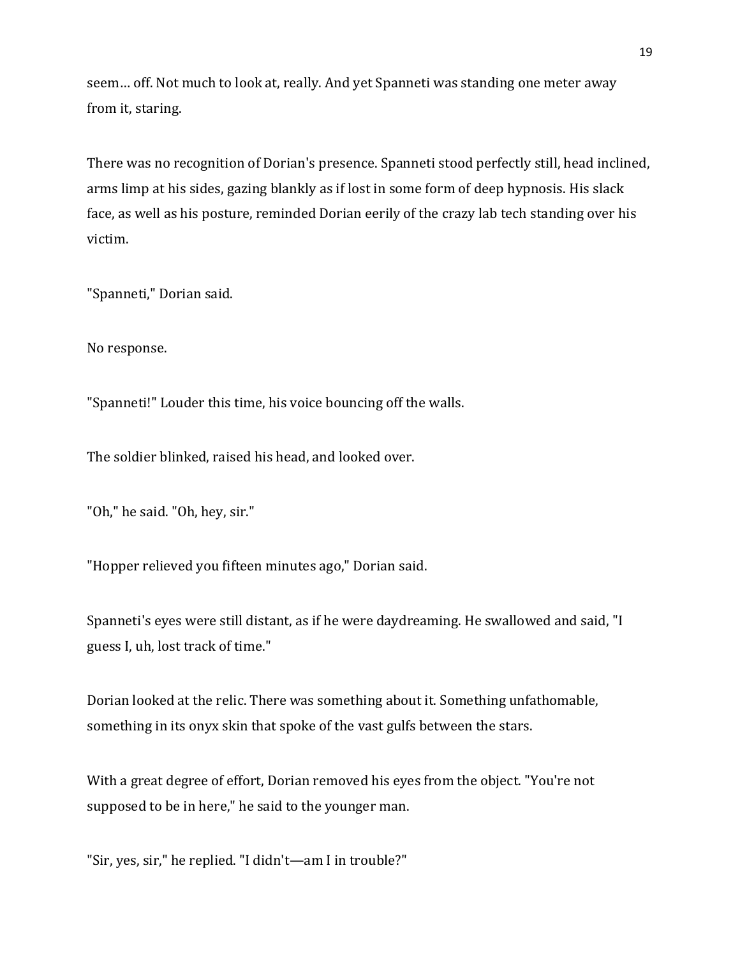seem… off. Not much to look at, really. And yet Spanneti was standing one meter away from it, staring.

There was no recognition of Dorian's presence. Spanneti stood perfectly still, head inclined, arms limp at his sides, gazing blankly as if lost in some form of deep hypnosis. His slack face, as well as his posture, reminded Dorian eerily of the crazy lab tech standing over his victim.

"Spanneti," Dorian said.

No response.

"Spanneti!" Louder this time, his voice bouncing off the walls.

The soldier blinked, raised his head, and looked over.

"Oh," he said. "Oh, hey, sir."

"Hopper relieved you fifteen minutes ago," Dorian said.

Spanneti's eyes were still distant, as if he were daydreaming. He swallowed and said, "I guess I, uh, lost track of time."

Dorian looked at the relic. There was something about it. Something unfathomable, something in its onyx skin that spoke of the vast gulfs between the stars.

With a great degree of effort, Dorian removed his eyes from the object. "You're not supposed to be in here," he said to the younger man.

"Sir, yes, sir," he replied. "I didn't—am I in trouble?"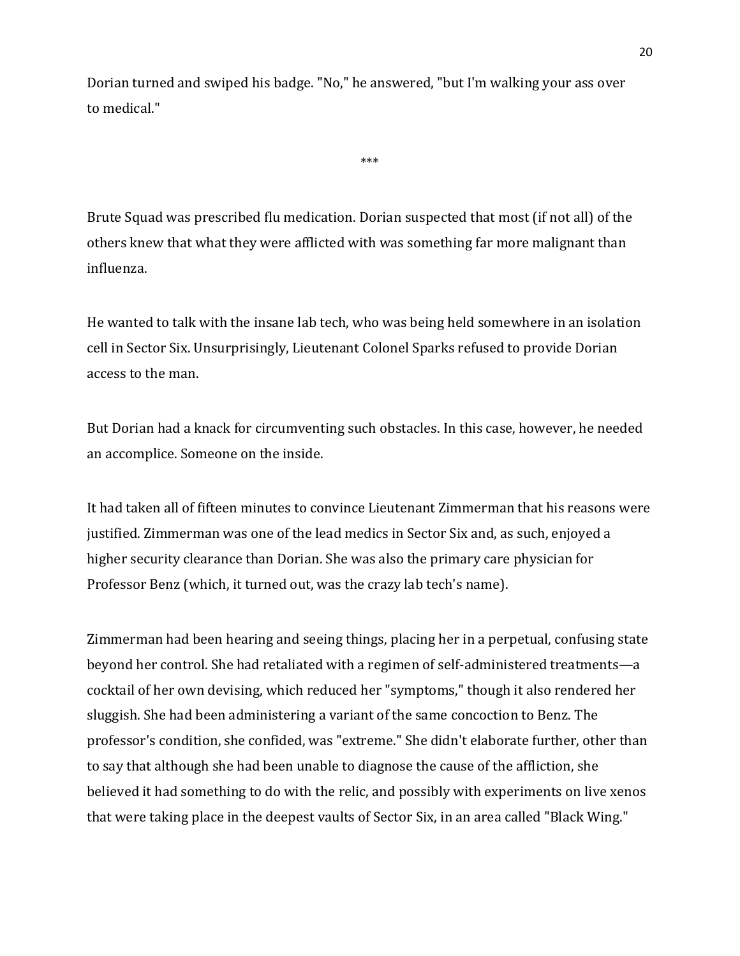Dorian turned and swiped his badge. "No," he answered, "but I'm walking your ass over to medical."

\*\*\*

Brute Squad was prescribed flu medication. Dorian suspected that most (if not all) of the others knew that what they were afflicted with was something far more malignant than influenza.

He wanted to talk with the insane lab tech, who was being held somewhere in an isolation cell in Sector Six. Unsurprisingly, Lieutenant Colonel Sparks refused to provide Dorian access to the man.

But Dorian had a knack for circumventing such obstacles. In this case, however, he needed an accomplice. Someone on the inside.

It had taken all of fifteen minutes to convince Lieutenant Zimmerman that his reasons were justified. Zimmerman was one of the lead medics in Sector Six and, as such, enjoyed a higher security clearance than Dorian. She was also the primary care physician for Professor Benz (which, it turned out, was the crazy lab tech's name).

Zimmerman had been hearing and seeing things, placing her in a perpetual, confusing state beyond her control. She had retaliated with a regimen of self-administered treatments—a cocktail of her own devising, which reduced her "symptoms," though it also rendered her sluggish. She had been administering a variant of the same concoction to Benz. The professor's condition, she confided, was "extreme." She didn't elaborate further, other than to say that although she had been unable to diagnose the cause of the affliction, she believed it had something to do with the relic, and possibly with experiments on live xenos that were taking place in the deepest vaults of Sector Six, in an area called "Black Wing."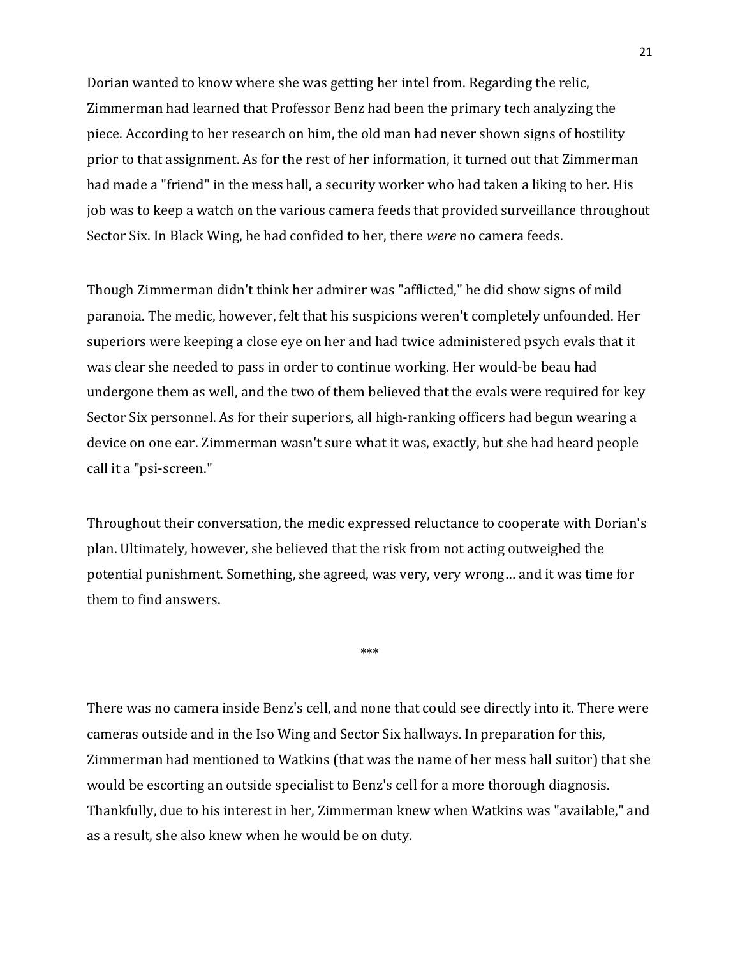Dorian wanted to know where she was getting her intel from. Regarding the relic, Zimmerman had learned that Professor Benz had been the primary tech analyzing the piece. According to her research on him, the old man had never shown signs of hostility prior to that assignment. As for the rest of her information, it turned out that Zimmerman had made a "friend" in the mess hall, a security worker who had taken a liking to her. His job was to keep a watch on the various camera feeds that provided surveillance throughout Sector Six. In Black Wing, he had confided to her, there *were* no camera feeds.

Though Zimmerman didn't think her admirer was "afflicted," he did show signs of mild paranoia. The medic, however, felt that his suspicions weren't completely unfounded. Her superiors were keeping a close eye on her and had twice administered psych evals that it was clear she needed to pass in order to continue working. Her would-be beau had undergone them as well, and the two of them believed that the evals were required for key Sector Six personnel. As for their superiors, all high-ranking officers had begun wearing a device on one ear. Zimmerman wasn't sure what it was, exactly, but she had heard people call it a "psi-screen."

Throughout their conversation, the medic expressed reluctance to cooperate with Dorian's plan. Ultimately, however, she believed that the risk from not acting outweighed the potential punishment. Something, she agreed, was very, very wrong… and it was time for them to find answers.

\*\*\*

There was no camera inside Benz's cell, and none that could see directly into it. There were cameras outside and in the Iso Wing and Sector Six hallways. In preparation for this, Zimmerman had mentioned to Watkins (that was the name of her mess hall suitor) that she would be escorting an outside specialist to Benz's cell for a more thorough diagnosis. Thankfully, due to his interest in her, Zimmerman knew when Watkins was "available," and as a result, she also knew when he would be on duty.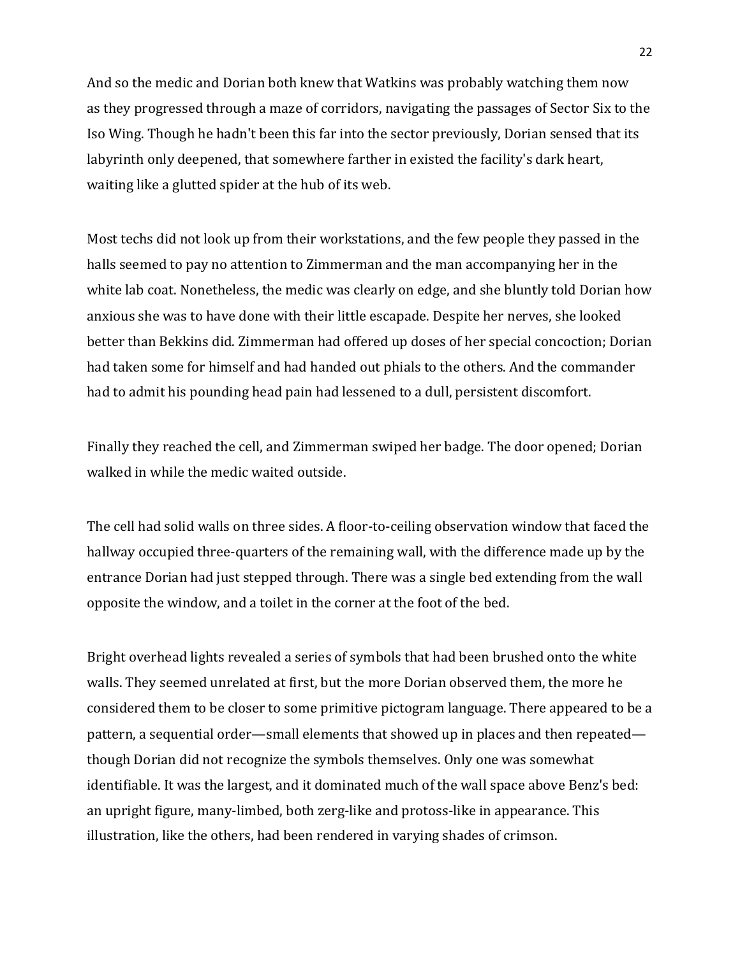And so the medic and Dorian both knew that Watkins was probably watching them now as they progressed through a maze of corridors, navigating the passages of Sector Six to the Iso Wing. Though he hadn't been this far into the sector previously, Dorian sensed that its labyrinth only deepened, that somewhere farther in existed the facility's dark heart, waiting like a glutted spider at the hub of its web.

Most techs did not look up from their workstations, and the few people they passed in the halls seemed to pay no attention to Zimmerman and the man accompanying her in the white lab coat. Nonetheless, the medic was clearly on edge, and she bluntly told Dorian how anxious she was to have done with their little escapade. Despite her nerves, she looked better than Bekkins did. Zimmerman had offered up doses of her special concoction; Dorian had taken some for himself and had handed out phials to the others. And the commander had to admit his pounding head pain had lessened to a dull, persistent discomfort.

Finally they reached the cell, and Zimmerman swiped her badge. The door opened; Dorian walked in while the medic waited outside.

The cell had solid walls on three sides. A floor-to-ceiling observation window that faced the hallway occupied three-quarters of the remaining wall, with the difference made up by the entrance Dorian had just stepped through. There was a single bed extending from the wall opposite the window, and a toilet in the corner at the foot of the bed.

Bright overhead lights revealed a series of symbols that had been brushed onto the white walls. They seemed unrelated at first, but the more Dorian observed them, the more he considered them to be closer to some primitive pictogram language. There appeared to be a pattern, a sequential order—small elements that showed up in places and then repeated though Dorian did not recognize the symbols themselves. Only one was somewhat identifiable. It was the largest, and it dominated much of the wall space above Benz's bed: an upright figure, many-limbed, both zerg-like and protoss-like in appearance. This illustration, like the others, had been rendered in varying shades of crimson.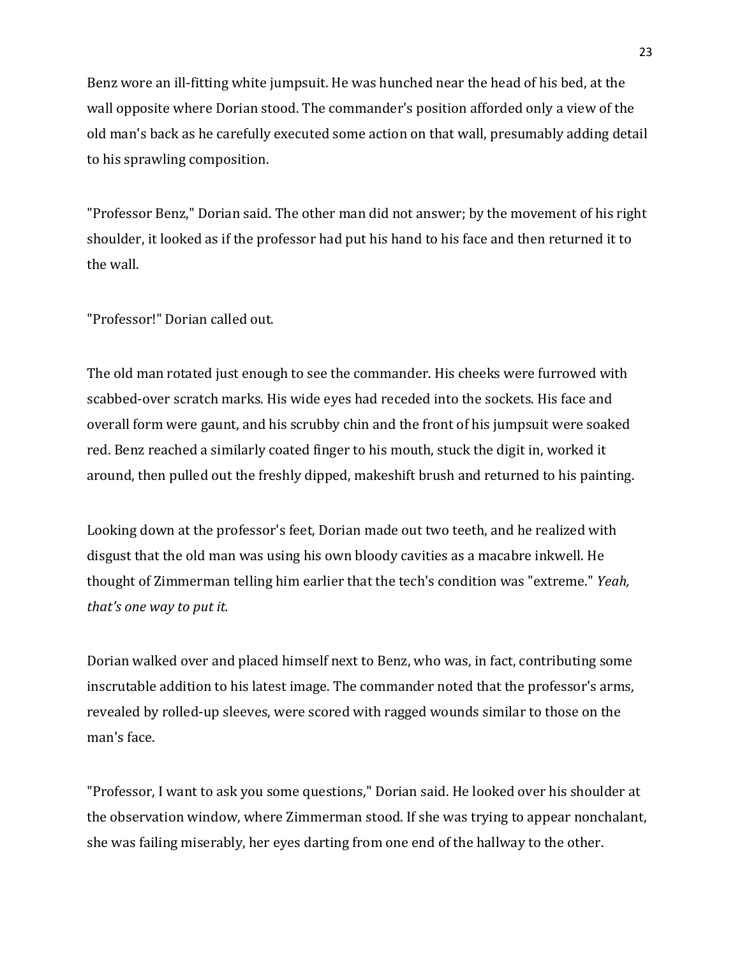Benz wore an ill-fitting white jumpsuit. He was hunched near the head of his bed, at the wall opposite where Dorian stood. The commander's position afforded only a view of the old man's back as he carefully executed some action on that wall, presumably adding detail to his sprawling composition.

"Professor Benz," Dorian said. The other man did not answer; by the movement of his right shoulder, it looked as if the professor had put his hand to his face and then returned it to the wall.

"Professor!" Dorian called out.

The old man rotated just enough to see the commander. His cheeks were furrowed with scabbed-over scratch marks. His wide eyes had receded into the sockets. His face and overall form were gaunt, and his scrubby chin and the front of his jumpsuit were soaked red. Benz reached a similarly coated finger to his mouth, stuck the digit in, worked it around, then pulled out the freshly dipped, makeshift brush and returned to his painting.

Looking down at the professor's feet, Dorian made out two teeth, and he realized with disgust that the old man was using his own bloody cavities as a macabre inkwell. He thought of Zimmerman telling him earlier that the tech's condition was "extreme." *Yeah, that's one way to put it.*

Dorian walked over and placed himself next to Benz, who was, in fact, contributing some inscrutable addition to his latest image. The commander noted that the professor's arms, revealed by rolled-up sleeves, were scored with ragged wounds similar to those on the man's face.

"Professor, I want to ask you some questions," Dorian said. He looked over his shoulder at the observation window, where Zimmerman stood. If she was trying to appear nonchalant, she was failing miserably, her eyes darting from one end of the hallway to the other.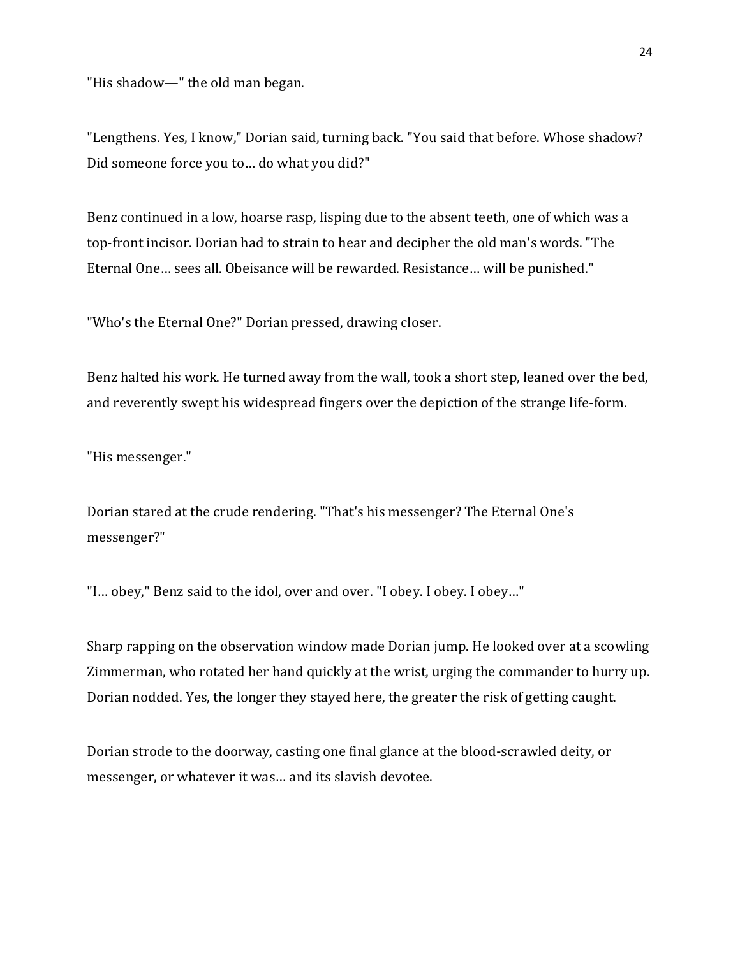"His shadow—" the old man began.

"Lengthens. Yes, I know," Dorian said, turning back. "You said that before. Whose shadow? Did someone force you to… do what you did?"

Benz continued in a low, hoarse rasp, lisping due to the absent teeth, one of which was a top-front incisor. Dorian had to strain to hear and decipher the old man's words. "The Eternal One… sees all. Obeisance will be rewarded. Resistance… will be punished."

"Who's the Eternal One?" Dorian pressed, drawing closer.

Benz halted his work. He turned away from the wall, took a short step, leaned over the bed, and reverently swept his widespread fingers over the depiction of the strange life-form.

"His messenger."

Dorian stared at the crude rendering. "That's his messenger? The Eternal One's messenger?"

"I… obey," Benz said to the idol, over and over. "I obey. I obey. I obey…"

Sharp rapping on the observation window made Dorian jump. He looked over at a scowling Zimmerman, who rotated her hand quickly at the wrist, urging the commander to hurry up. Dorian nodded. Yes, the longer they stayed here, the greater the risk of getting caught.

Dorian strode to the doorway, casting one final glance at the blood-scrawled deity, or messenger, or whatever it was… and its slavish devotee.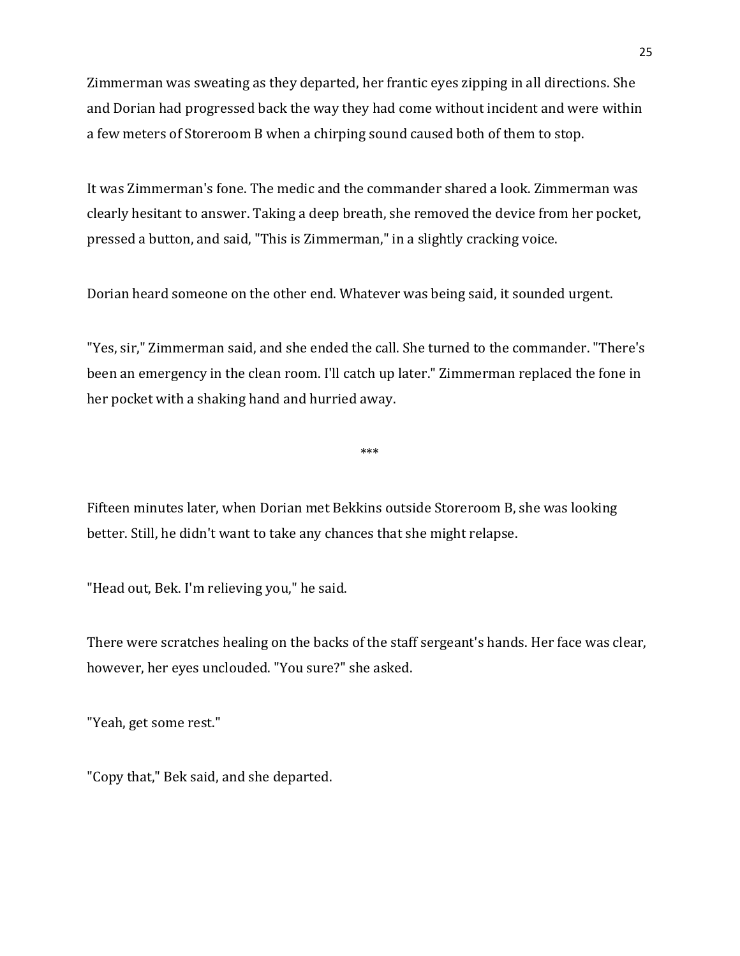Zimmerman was sweating as they departed, her frantic eyes zipping in all directions. She and Dorian had progressed back the way they had come without incident and were within a few meters of Storeroom B when a chirping sound caused both of them to stop.

It was Zimmerman's fone. The medic and the commander shared a look. Zimmerman was clearly hesitant to answer. Taking a deep breath, she removed the device from her pocket, pressed a button, and said, "This is Zimmerman," in a slightly cracking voice.

Dorian heard someone on the other end. Whatever was being said, it sounded urgent.

"Yes, sir," Zimmerman said, and she ended the call. She turned to the commander. "There's been an emergency in the clean room. I'll catch up later." Zimmerman replaced the fone in her pocket with a shaking hand and hurried away.

\*\*\*

Fifteen minutes later, when Dorian met Bekkins outside Storeroom B, she was looking better. Still, he didn't want to take any chances that she might relapse.

"Head out, Bek. I'm relieving you," he said.

There were scratches healing on the backs of the staff sergeant's hands. Her face was clear, however, her eyes unclouded. "You sure?" she asked.

"Yeah, get some rest."

"Copy that," Bek said, and she departed.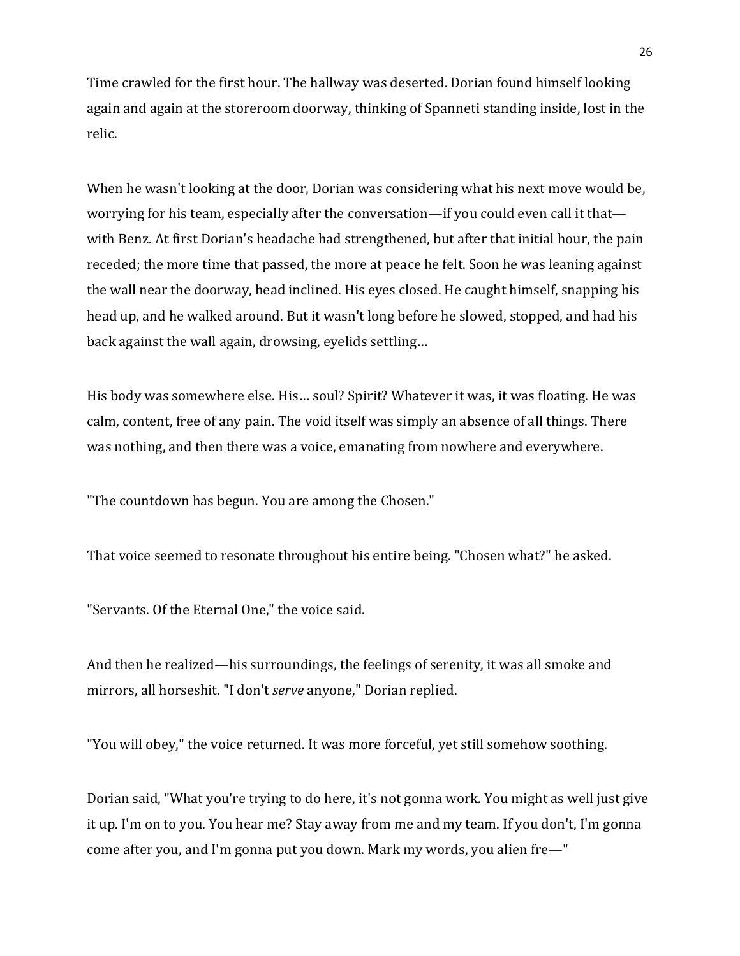Time crawled for the first hour. The hallway was deserted. Dorian found himself looking again and again at the storeroom doorway, thinking of Spanneti standing inside, lost in the relic.

When he wasn't looking at the door, Dorian was considering what his next move would be, worrying for his team, especially after the conversation—if you could even call it that with Benz. At first Dorian's headache had strengthened, but after that initial hour, the pain receded; the more time that passed, the more at peace he felt. Soon he was leaning against the wall near the doorway, head inclined. His eyes closed. He caught himself, snapping his head up, and he walked around. But it wasn't long before he slowed, stopped, and had his back against the wall again, drowsing, eyelids settling…

His body was somewhere else. His… soul? Spirit? Whatever it was, it was floating. He was calm, content, free of any pain. The void itself was simply an absence of all things. There was nothing, and then there was a voice, emanating from nowhere and everywhere.

"The countdown has begun. You are among the Chosen."

That voice seemed to resonate throughout his entire being. "Chosen what?" he asked.

"Servants. Of the Eternal One," the voice said.

And then he realized—his surroundings, the feelings of serenity, it was all smoke and mirrors, all horseshit. "I don't *serve* anyone," Dorian replied.

"You will obey," the voice returned. It was more forceful, yet still somehow soothing.

Dorian said, "What you're trying to do here, it's not gonna work. You might as well just give it up. I'm on to you. You hear me? Stay away from me and my team. If you don't, I'm gonna come after you, and I'm gonna put you down. Mark my words, you alien fre—"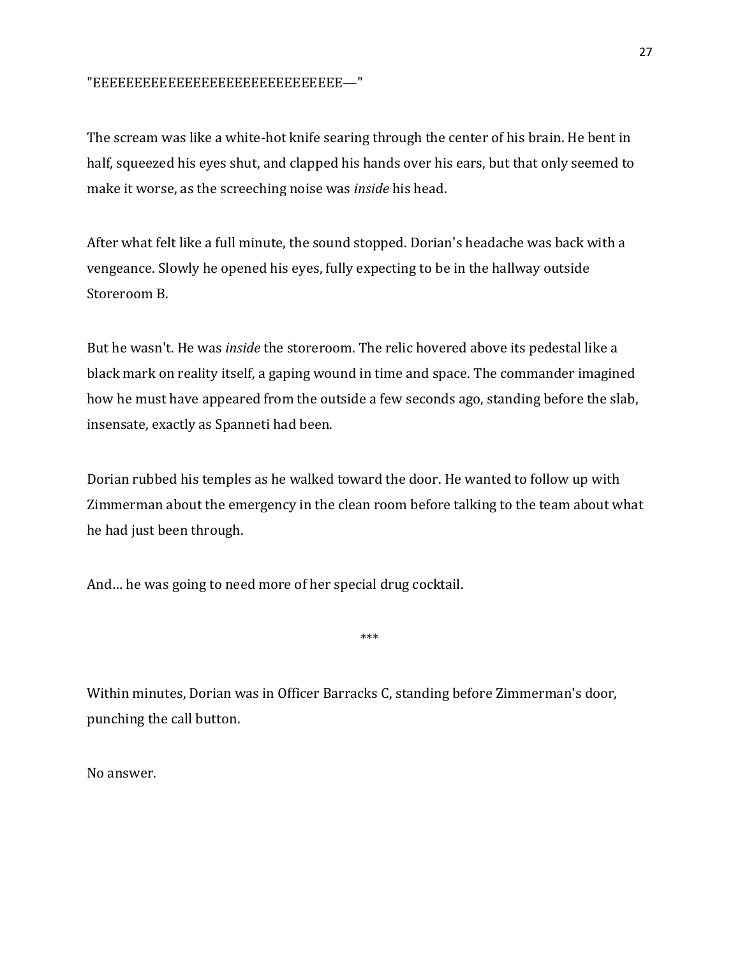## "EEEEEEEEEEEEEEEEEEEEEEEEEEEEEE—"

The scream was like a white-hot knife searing through the center of his brain. He bent in half, squeezed his eyes shut, and clapped his hands over his ears, but that only seemed to make it worse, as the screeching noise was *inside* his head.

After what felt like a full minute, the sound stopped. Dorian's headache was back with a vengeance. Slowly he opened his eyes, fully expecting to be in the hallway outside Storeroom B.

But he wasn't. He was *inside* the storeroom. The relic hovered above its pedestal like a black mark on reality itself, a gaping wound in time and space. The commander imagined how he must have appeared from the outside a few seconds ago, standing before the slab, insensate, exactly as Spanneti had been.

Dorian rubbed his temples as he walked toward the door. He wanted to follow up with Zimmerman about the emergency in the clean room before talking to the team about what he had just been through.

And… he was going to need more of her special drug cocktail.

\*\*\*

Within minutes, Dorian was in Officer Barracks C, standing before Zimmerman's door, punching the call button.

No answer.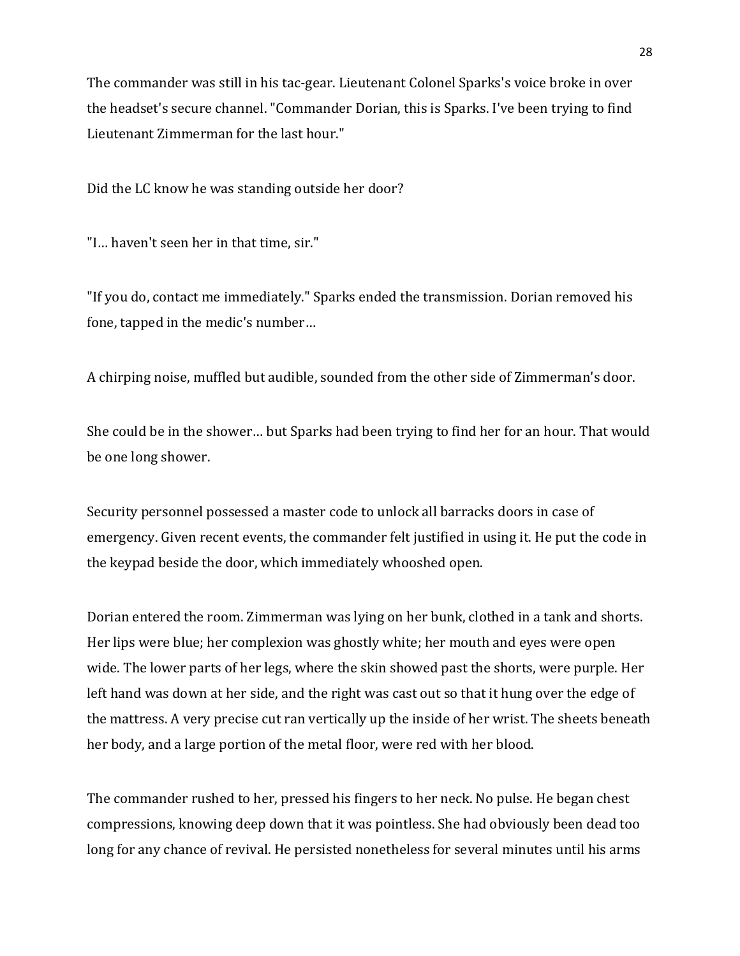The commander was still in his tac-gear. Lieutenant Colonel Sparks's voice broke in over the headset's secure channel. "Commander Dorian, this is Sparks. I've been trying to find Lieutenant Zimmerman for the last hour."

Did the LC know he was standing outside her door?

"I… haven't seen her in that time, sir."

"If you do, contact me immediately." Sparks ended the transmission. Dorian removed his fone, tapped in the medic's number…

A chirping noise, muffled but audible, sounded from the other side of Zimmerman's door.

She could be in the shower… but Sparks had been trying to find her for an hour. That would be one long shower.

Security personnel possessed a master code to unlock all barracks doors in case of emergency. Given recent events, the commander felt justified in using it. He put the code in the keypad beside the door, which immediately whooshed open.

Dorian entered the room. Zimmerman was lying on her bunk, clothed in a tank and shorts. Her lips were blue; her complexion was ghostly white; her mouth and eyes were open wide. The lower parts of her legs, where the skin showed past the shorts, were purple. Her left hand was down at her side, and the right was cast out so that it hung over the edge of the mattress. A very precise cut ran vertically up the inside of her wrist. The sheets beneath her body, and a large portion of the metal floor, were red with her blood.

The commander rushed to her, pressed his fingers to her neck. No pulse. He began chest compressions, knowing deep down that it was pointless. She had obviously been dead too long for any chance of revival. He persisted nonetheless for several minutes until his arms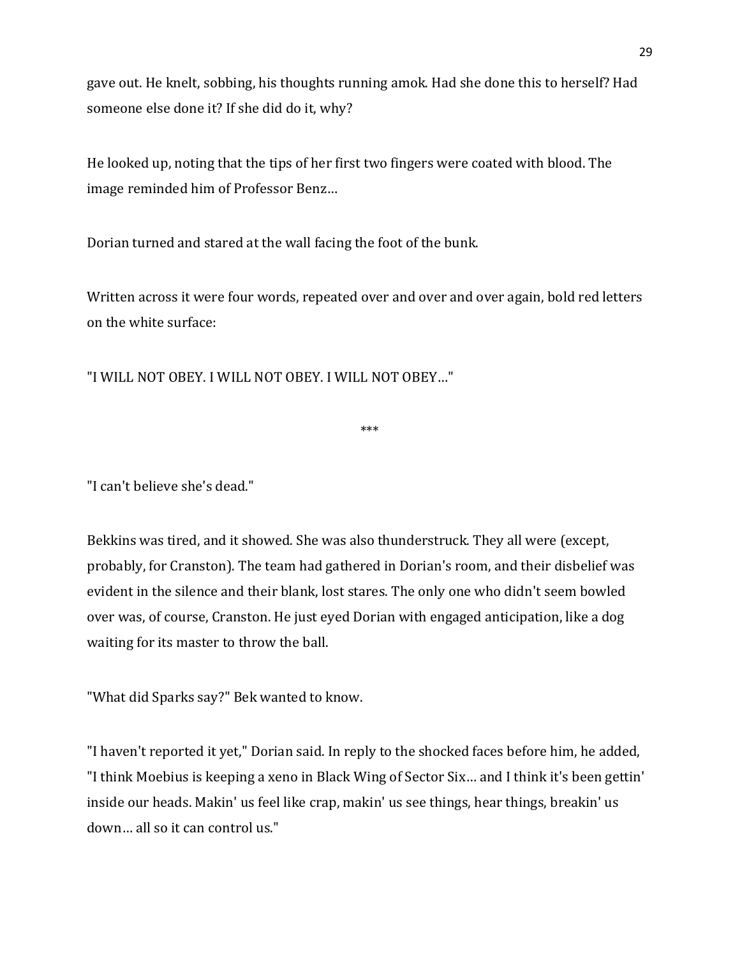gave out. He knelt, sobbing, his thoughts running amok. Had she done this to herself? Had someone else done it? If she did do it, why?

He looked up, noting that the tips of her first two fingers were coated with blood. The image reminded him of Professor Benz…

Dorian turned and stared at the wall facing the foot of the bunk.

Written across it were four words, repeated over and over and over again, bold red letters on the white surface:

"I WILL NOT OBEY. I WILL NOT OBEY. I WILL NOT OBEY…"

\*\*\*

"I can't believe she's dead."

Bekkins was tired, and it showed. She was also thunderstruck. They all were (except, probably, for Cranston). The team had gathered in Dorian's room, and their disbelief was evident in the silence and their blank, lost stares. The only one who didn't seem bowled over was, of course, Cranston. He just eyed Dorian with engaged anticipation, like a dog waiting for its master to throw the ball.

"What did Sparks say?" Bek wanted to know.

"I haven't reported it yet," Dorian said. In reply to the shocked faces before him, he added, "I think Moebius is keeping a xeno in Black Wing of Sector Six… and I think it's been gettin' inside our heads. Makin' us feel like crap, makin' us see things, hear things, breakin' us down… all so it can control us."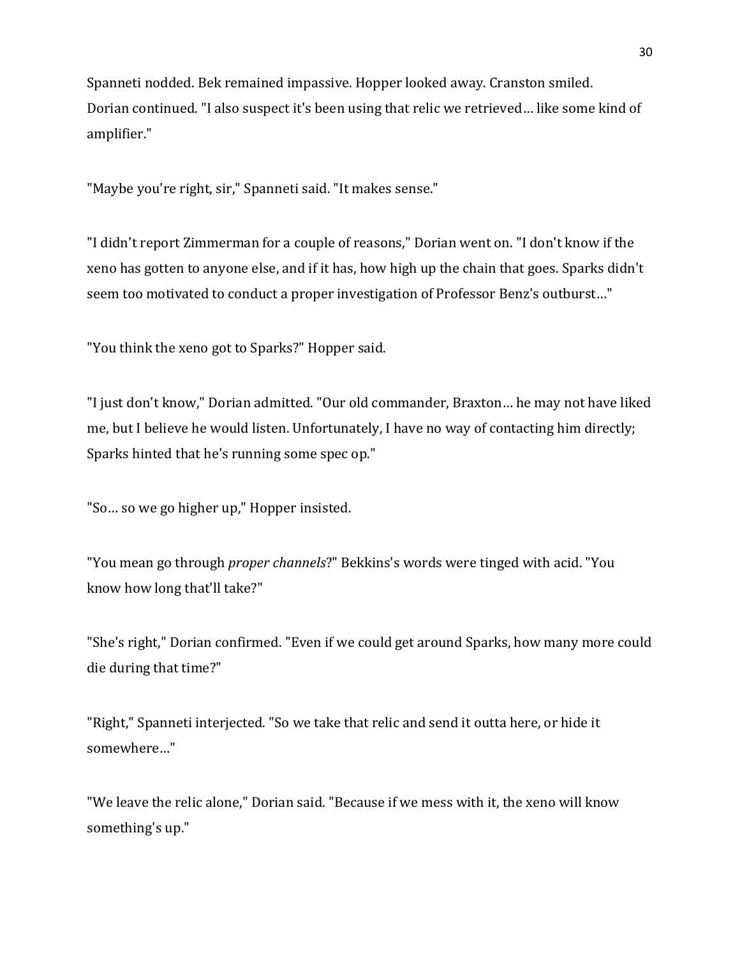Spanneti nodded. Bek remained impassive. Hopper looked away. Cranston smiled. Dorian continued. "I also suspect it's been using that relic we retrieved… like some kind of amplifier."

"Maybe you're right, sir," Spanneti said. "It makes sense."

"I didn't report Zimmerman for a couple of reasons," Dorian went on. "I don't know if the xeno has gotten to anyone else, and if it has, how high up the chain that goes. Sparks didn't seem too motivated to conduct a proper investigation of Professor Benz's outburst…"

"You think the xeno got to Sparks?" Hopper said.

"I just don't know," Dorian admitted. "Our old commander, Braxton… he may not have liked me, but I believe he would listen. Unfortunately, I have no way of contacting him directly; Sparks hinted that he's running some spec op."

"So… so we go higher up," Hopper insisted.

"You mean go through *proper channels*?" Bekkins's words were tinged with acid. "You know how long that'll take?"

"She's right," Dorian confirmed. "Even if we could get around Sparks, how many more could die during that time?"

"Right," Spanneti interjected. "So we take that relic and send it outta here, or hide it somewhere…"

"We leave the relic alone," Dorian said. "Because if we mess with it, the xeno will know something's up."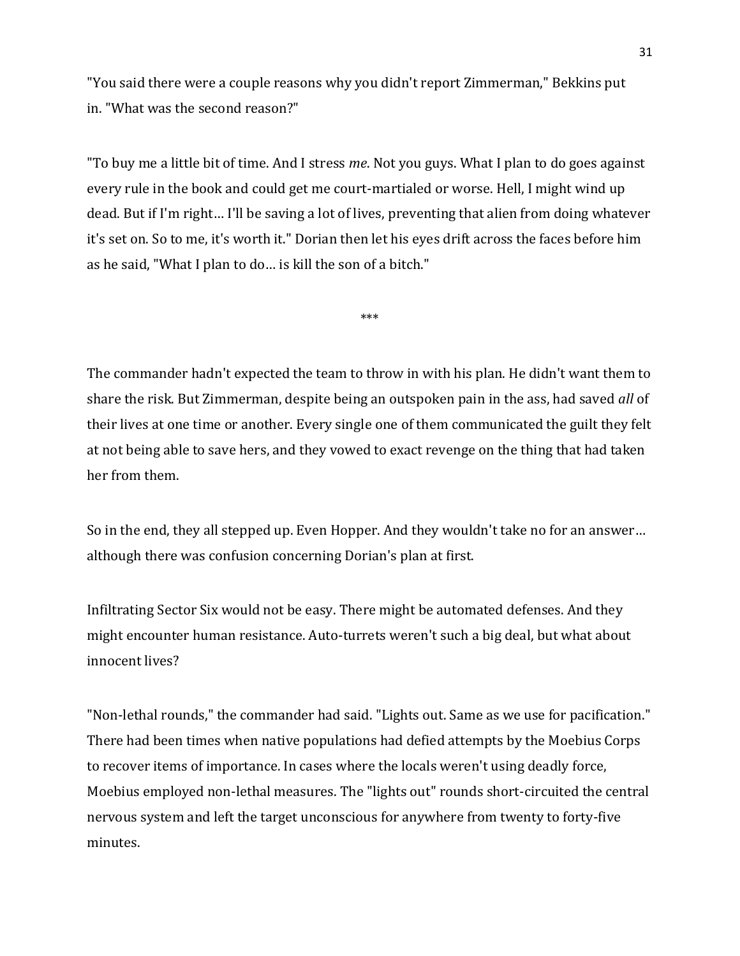"You said there were a couple reasons why you didn't report Zimmerman," Bekkins put in. "What was the second reason?"

"To buy me a little bit of time. And I stress *me*. Not you guys. What I plan to do goes against every rule in the book and could get me court-martialed or worse. Hell, I might wind up dead. But if I'm right… I'll be saving a lot of lives, preventing that alien from doing whatever it's set on. So to me, it's worth it." Dorian then let his eyes drift across the faces before him as he said, "What I plan to do… is kill the son of a bitch."

\*\*\*

The commander hadn't expected the team to throw in with his plan. He didn't want them to share the risk. But Zimmerman, despite being an outspoken pain in the ass, had saved *all* of their lives at one time or another. Every single one of them communicated the guilt they felt at not being able to save hers, and they vowed to exact revenge on the thing that had taken her from them.

So in the end, they all stepped up. Even Hopper. And they wouldn't take no for an answer… although there was confusion concerning Dorian's plan at first.

Infiltrating Sector Six would not be easy. There might be automated defenses. And they might encounter human resistance. Auto-turrets weren't such a big deal, but what about innocent lives?

"Non-lethal rounds," the commander had said. "Lights out. Same as we use for pacification." There had been times when native populations had defied attempts by the Moebius Corps to recover items of importance. In cases where the locals weren't using deadly force, Moebius employed non-lethal measures. The "lights out" rounds short-circuited the central nervous system and left the target unconscious for anywhere from twenty to forty-five minutes.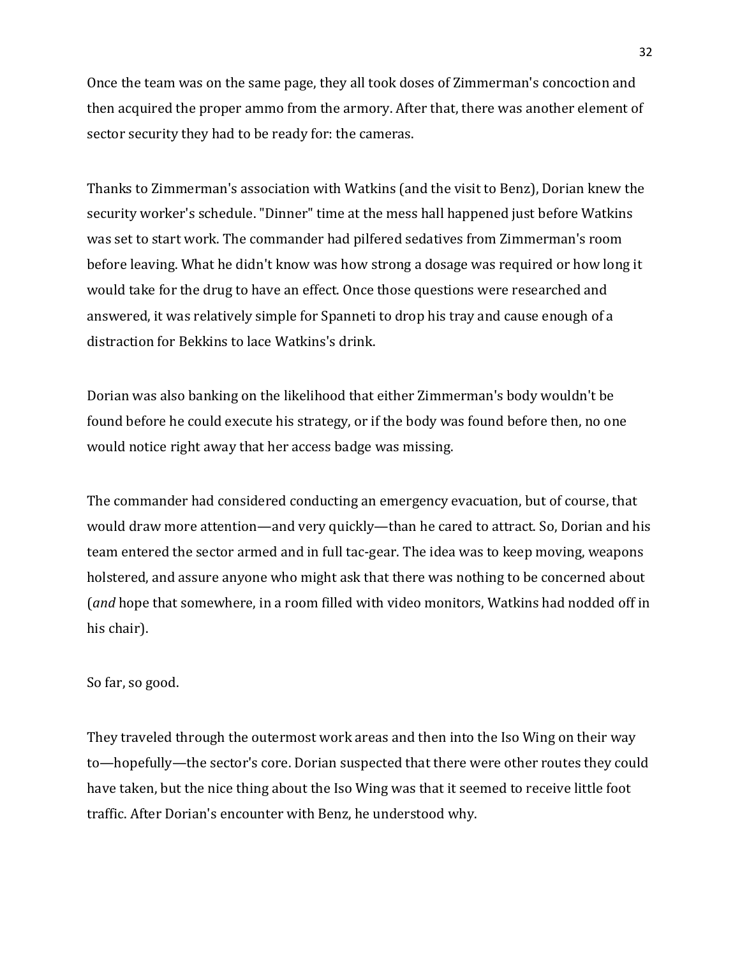Once the team was on the same page, they all took doses of Zimmerman's concoction and then acquired the proper ammo from the armory. After that, there was another element of sector security they had to be ready for: the cameras.

Thanks to Zimmerman's association with Watkins (and the visit to Benz), Dorian knew the security worker's schedule. "Dinner" time at the mess hall happened just before Watkins was set to start work. The commander had pilfered sedatives from Zimmerman's room before leaving. What he didn't know was how strong a dosage was required or how long it would take for the drug to have an effect. Once those questions were researched and answered, it was relatively simple for Spanneti to drop his tray and cause enough of a distraction for Bekkins to lace Watkins's drink.

Dorian was also banking on the likelihood that either Zimmerman's body wouldn't be found before he could execute his strategy, or if the body was found before then, no one would notice right away that her access badge was missing.

The commander had considered conducting an emergency evacuation, but of course, that would draw more attention—and very quickly—than he cared to attract. So, Dorian and his team entered the sector armed and in full tac-gear. The idea was to keep moving, weapons holstered, and assure anyone who might ask that there was nothing to be concerned about (*and* hope that somewhere, in a room filled with video monitors, Watkins had nodded off in his chair).

#### So far, so good.

They traveled through the outermost work areas and then into the Iso Wing on their way to—hopefully—the sector's core. Dorian suspected that there were other routes they could have taken, but the nice thing about the Iso Wing was that it seemed to receive little foot traffic. After Dorian's encounter with Benz, he understood why.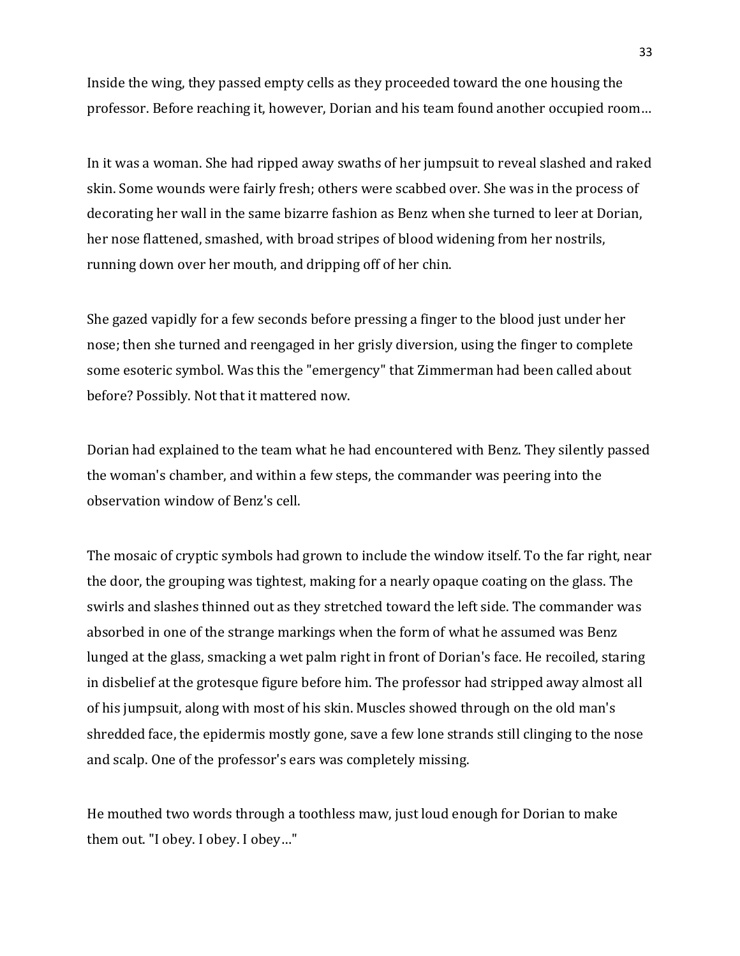Inside the wing, they passed empty cells as they proceeded toward the one housing the professor. Before reaching it, however, Dorian and his team found another occupied room…

In it was a woman. She had ripped away swaths of her jumpsuit to reveal slashed and raked skin. Some wounds were fairly fresh; others were scabbed over. She was in the process of decorating her wall in the same bizarre fashion as Benz when she turned to leer at Dorian, her nose flattened, smashed, with broad stripes of blood widening from her nostrils, running down over her mouth, and dripping off of her chin.

She gazed vapidly for a few seconds before pressing a finger to the blood just under her nose; then she turned and reengaged in her grisly diversion, using the finger to complete some esoteric symbol. Was this the "emergency" that Zimmerman had been called about before? Possibly. Not that it mattered now.

Dorian had explained to the team what he had encountered with Benz. They silently passed the woman's chamber, and within a few steps, the commander was peering into the observation window of Benz's cell.

The mosaic of cryptic symbols had grown to include the window itself. To the far right, near the door, the grouping was tightest, making for a nearly opaque coating on the glass. The swirls and slashes thinned out as they stretched toward the left side. The commander was absorbed in one of the strange markings when the form of what he assumed was Benz lunged at the glass, smacking a wet palm right in front of Dorian's face. He recoiled, staring in disbelief at the grotesque figure before him. The professor had stripped away almost all of his jumpsuit, along with most of his skin. Muscles showed through on the old man's shredded face, the epidermis mostly gone, save a few lone strands still clinging to the nose and scalp. One of the professor's ears was completely missing.

He mouthed two words through a toothless maw, just loud enough for Dorian to make them out. "I obey. I obey. I obey…"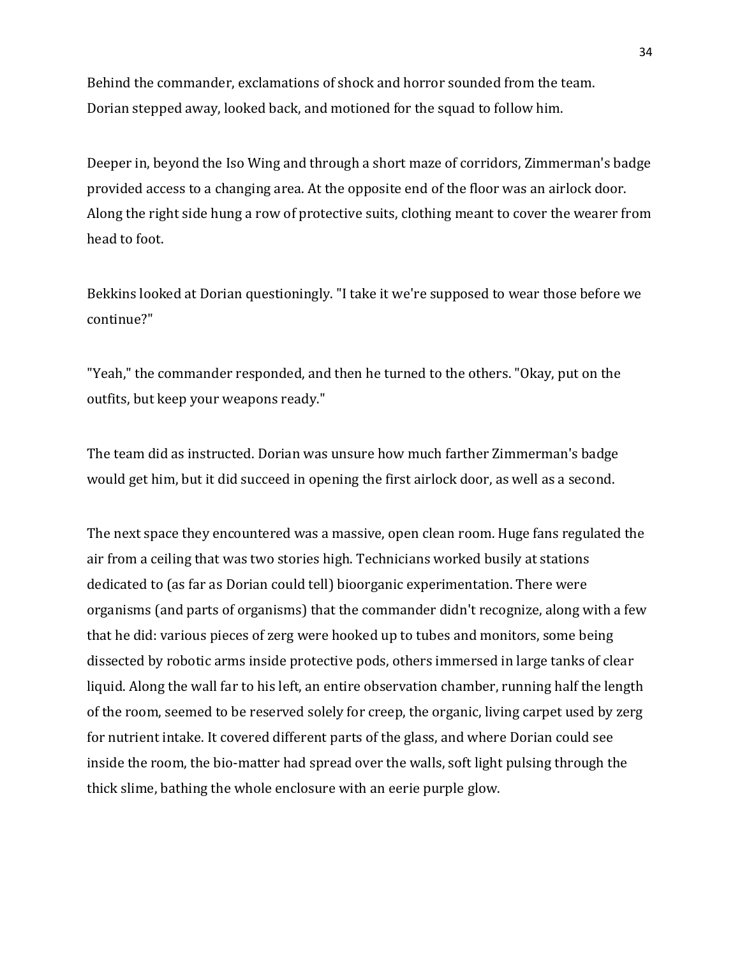Behind the commander, exclamations of shock and horror sounded from the team. Dorian stepped away, looked back, and motioned for the squad to follow him.

Deeper in, beyond the Iso Wing and through a short maze of corridors, Zimmerman's badge provided access to a changing area. At the opposite end of the floor was an airlock door. Along the right side hung a row of protective suits, clothing meant to cover the wearer from head to foot.

Bekkins looked at Dorian questioningly. "I take it we're supposed to wear those before we continue?"

"Yeah," the commander responded, and then he turned to the others. "Okay, put on the outfits, but keep your weapons ready."

The team did as instructed. Dorian was unsure how much farther Zimmerman's badge would get him, but it did succeed in opening the first airlock door, as well as a second.

The next space they encountered was a massive, open clean room. Huge fans regulated the air from a ceiling that was two stories high. Technicians worked busily at stations dedicated to (as far as Dorian could tell) bioorganic experimentation. There were organisms (and parts of organisms) that the commander didn't recognize, along with a few that he did: various pieces of zerg were hooked up to tubes and monitors, some being dissected by robotic arms inside protective pods, others immersed in large tanks of clear liquid. Along the wall far to his left, an entire observation chamber, running half the length of the room, seemed to be reserved solely for creep, the organic, living carpet used by zerg for nutrient intake. It covered different parts of the glass, and where Dorian could see inside the room, the bio-matter had spread over the walls, soft light pulsing through the thick slime, bathing the whole enclosure with an eerie purple glow.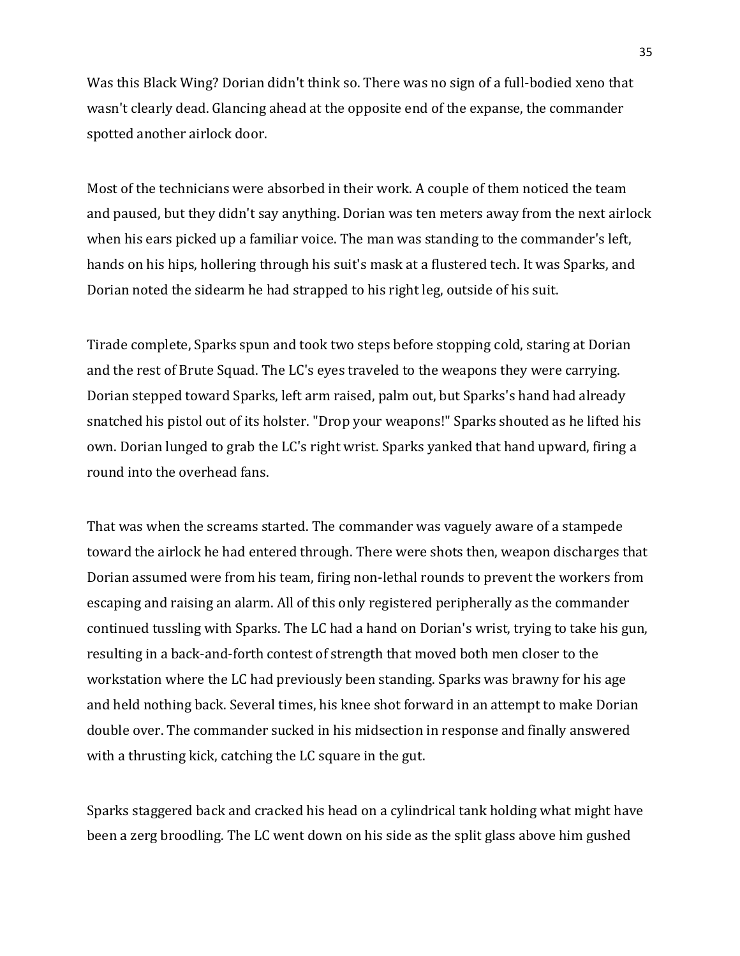Was this Black Wing? Dorian didn't think so. There was no sign of a full-bodied xeno that wasn't clearly dead. Glancing ahead at the opposite end of the expanse, the commander spotted another airlock door.

Most of the technicians were absorbed in their work. A couple of them noticed the team and paused, but they didn't say anything. Dorian was ten meters away from the next airlock when his ears picked up a familiar voice. The man was standing to the commander's left, hands on his hips, hollering through his suit's mask at a flustered tech. It was Sparks, and Dorian noted the sidearm he had strapped to his right leg, outside of his suit.

Tirade complete, Sparks spun and took two steps before stopping cold, staring at Dorian and the rest of Brute Squad. The LC's eyes traveled to the weapons they were carrying. Dorian stepped toward Sparks, left arm raised, palm out, but Sparks's hand had already snatched his pistol out of its holster. "Drop your weapons!" Sparks shouted as he lifted his own. Dorian lunged to grab the LC's right wrist. Sparks yanked that hand upward, firing a round into the overhead fans.

That was when the screams started. The commander was vaguely aware of a stampede toward the airlock he had entered through. There were shots then, weapon discharges that Dorian assumed were from his team, firing non-lethal rounds to prevent the workers from escaping and raising an alarm. All of this only registered peripherally as the commander continued tussling with Sparks. The LC had a hand on Dorian's wrist, trying to take his gun, resulting in a back-and-forth contest of strength that moved both men closer to the workstation where the LC had previously been standing. Sparks was brawny for his age and held nothing back. Several times, his knee shot forward in an attempt to make Dorian double over. The commander sucked in his midsection in response and finally answered with a thrusting kick, catching the LC square in the gut.

Sparks staggered back and cracked his head on a cylindrical tank holding what might have been a zerg broodling. The LC went down on his side as the split glass above him gushed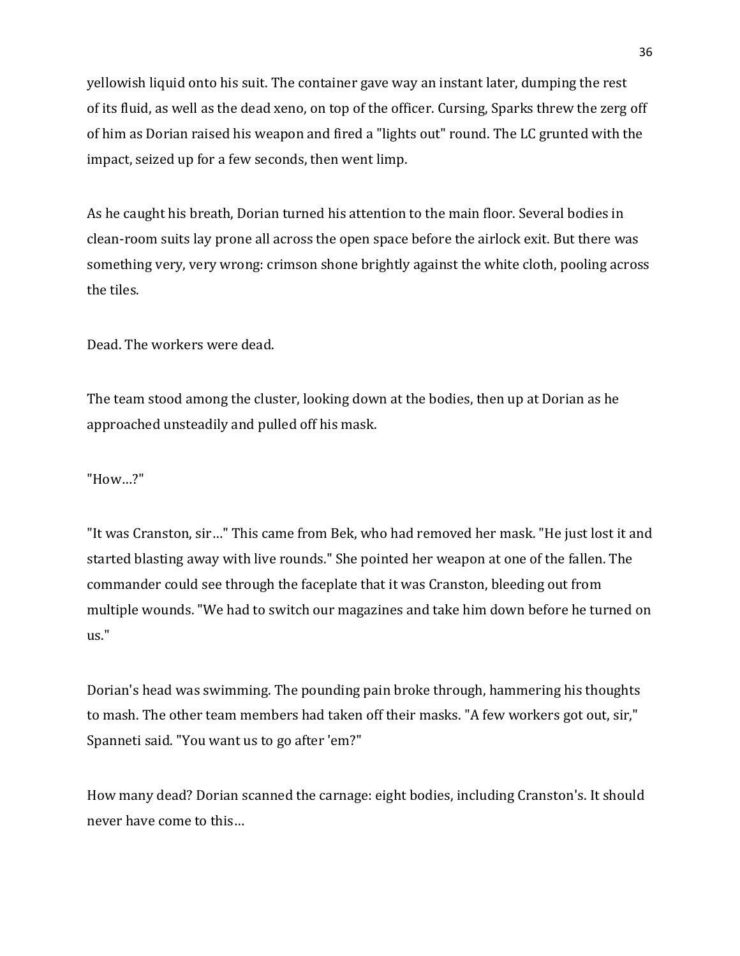yellowish liquid onto his suit. The container gave way an instant later, dumping the rest of its fluid, as well as the dead xeno, on top of the officer. Cursing, Sparks threw the zerg off of him as Dorian raised his weapon and fired a "lights out" round. The LC grunted with the impact, seized up for a few seconds, then went limp.

As he caught his breath, Dorian turned his attention to the main floor. Several bodies in clean-room suits lay prone all across the open space before the airlock exit. But there was something very, very wrong: crimson shone brightly against the white cloth, pooling across the tiles.

Dead. The workers were dead.

The team stood among the cluster, looking down at the bodies, then up at Dorian as he approached unsteadily and pulled off his mask.

"How…?"

"It was Cranston, sir…" This came from Bek, who had removed her mask. "He just lost it and started blasting away with live rounds." She pointed her weapon at one of the fallen. The commander could see through the faceplate that it was Cranston, bleeding out from multiple wounds. "We had to switch our magazines and take him down before he turned on us."

Dorian's head was swimming. The pounding pain broke through, hammering his thoughts to mash. The other team members had taken off their masks. "A few workers got out, sir," Spanneti said. "You want us to go after 'em?"

How many dead? Dorian scanned the carnage: eight bodies, including Cranston's. It should never have come to this…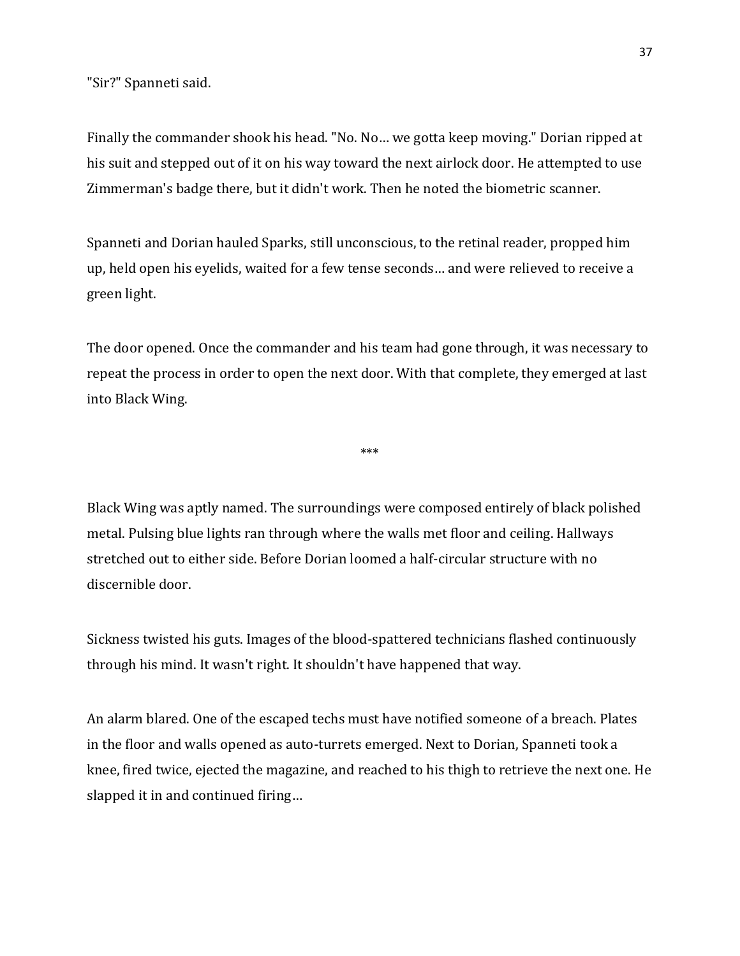"Sir?" Spanneti said.

Finally the commander shook his head. "No. No… we gotta keep moving." Dorian ripped at his suit and stepped out of it on his way toward the next airlock door. He attempted to use Zimmerman's badge there, but it didn't work. Then he noted the biometric scanner.

Spanneti and Dorian hauled Sparks, still unconscious, to the retinal reader, propped him up, held open his eyelids, waited for a few tense seconds… and were relieved to receive a green light.

The door opened. Once the commander and his team had gone through, it was necessary to repeat the process in order to open the next door. With that complete, they emerged at last into Black Wing.

\*\*\*

Black Wing was aptly named. The surroundings were composed entirely of black polished metal. Pulsing blue lights ran through where the walls met floor and ceiling. Hallways stretched out to either side. Before Dorian loomed a half-circular structure with no discernible door.

Sickness twisted his guts. Images of the blood-spattered technicians flashed continuously through his mind. It wasn't right. It shouldn't have happened that way.

An alarm blared. One of the escaped techs must have notified someone of a breach. Plates in the floor and walls opened as auto-turrets emerged. Next to Dorian, Spanneti took a knee, fired twice, ejected the magazine, and reached to his thigh to retrieve the next one. He slapped it in and continued firing…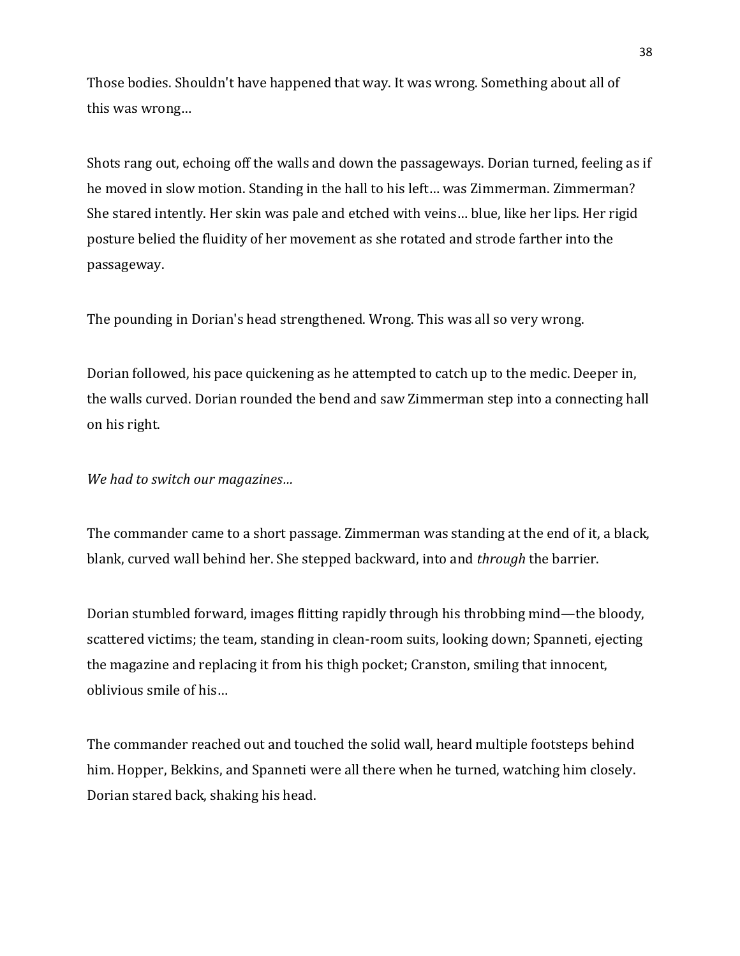Those bodies. Shouldn't have happened that way. It was wrong. Something about all of this was wrong…

Shots rang out, echoing off the walls and down the passageways. Dorian turned, feeling as if he moved in slow motion. Standing in the hall to his left… was Zimmerman. Zimmerman? She stared intently. Her skin was pale and etched with veins… blue, like her lips. Her rigid posture belied the fluidity of her movement as she rotated and strode farther into the passageway.

The pounding in Dorian's head strengthened. Wrong. This was all so very wrong.

Dorian followed, his pace quickening as he attempted to catch up to the medic. Deeper in, the walls curved. Dorian rounded the bend and saw Zimmerman step into a connecting hall on his right.

*We had to switch our magazines…*

The commander came to a short passage. Zimmerman was standing at the end of it, a black, blank, curved wall behind her. She stepped backward, into and *through* the barrier.

Dorian stumbled forward, images flitting rapidly through his throbbing mind—the bloody, scattered victims; the team, standing in clean-room suits, looking down; Spanneti, ejecting the magazine and replacing it from his thigh pocket; Cranston, smiling that innocent, oblivious smile of his…

The commander reached out and touched the solid wall, heard multiple footsteps behind him. Hopper, Bekkins, and Spanneti were all there when he turned, watching him closely. Dorian stared back, shaking his head.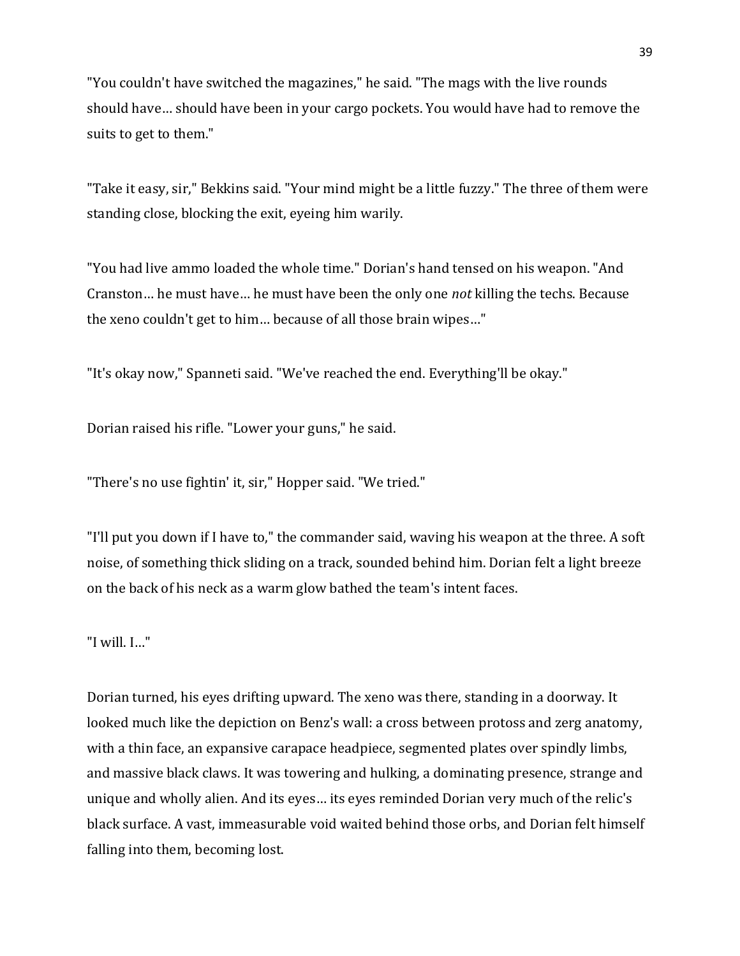"You couldn't have switched the magazines," he said. "The mags with the live rounds should have… should have been in your cargo pockets. You would have had to remove the suits to get to them."

"Take it easy, sir," Bekkins said. "Your mind might be a little fuzzy." The three of them were standing close, blocking the exit, eyeing him warily.

"You had live ammo loaded the whole time." Dorian's hand tensed on his weapon. "And Cranston… he must have… he must have been the only one *not* killing the techs. Because the xeno couldn't get to him… because of all those brain wipes…"

"It's okay now," Spanneti said. "We've reached the end. Everything'll be okay."

Dorian raised his rifle. "Lower your guns," he said.

"There's no use fightin' it, sir," Hopper said. "We tried."

"I'll put you down if I have to," the commander said, waving his weapon at the three. A soft noise, of something thick sliding on a track, sounded behind him. Dorian felt a light breeze on the back of his neck as a warm glow bathed the team's intent faces.

"I will. I…"

Dorian turned, his eyes drifting upward. The xeno was there, standing in a doorway. It looked much like the depiction on Benz's wall: a cross between protoss and zerg anatomy, with a thin face, an expansive carapace headpiece, segmented plates over spindly limbs, and massive black claws. It was towering and hulking, a dominating presence, strange and unique and wholly alien. And its eyes… its eyes reminded Dorian very much of the relic's black surface. A vast, immeasurable void waited behind those orbs, and Dorian felt himself falling into them, becoming lost.